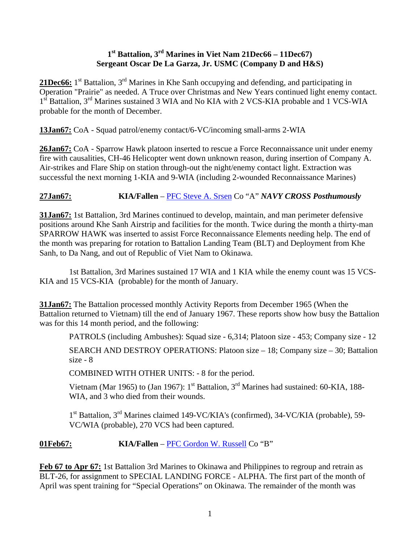## **1st Battalion, 3rd Marines in Viet Nam 21Dec66 – 11Dec67) Sergeant Oscar De La Garza, Jr. USMC (Company D and H&S)**

21Dec66: 1<sup>st</sup> Battalion, 3<sup>rd</sup> Marines in Khe Sanh occupying and defending, and participating in Operation "Prairie" as needed. A Truce over Christmas and New Years continued light enemy contact. 1st Battalion, 3<sup>rd</sup> Marines sustained 3 WIA and No KIA with 2 VCS-KIA probable and 1 VCS-WIA probable for the month of December.

**13Jan67:** CoA - Squad patrol/enemy contact/6-VC/incoming small-arms 2-WIA

**26Jan67:** CoA - Sparrow Hawk platoon inserted to rescue a Force Reconnaissance unit under enemy fire with causalities, CH-46 Helicopter went down unknown reason, during insertion of Company A. Air-strikes and Flare Ship on station through-out the night/enemy contact light. Extraction was successful the next morning 1-KIA and 9-WIA (including 2-wounded Reconnaissance Marines)

# **27Jan67: KIA/Fallen** – [PFC Steve A. Srsen](http://thewall-usa.com/info.asp?recid=49315) Co "A" *NAVY CROSS Posthumously*

**31Jan67:** 1st Battalion, 3rd Marines continued to develop, maintain, and man perimeter defensive positions around Khe Sanh Airstrip and facilities for the month. Twice during the month a thirty-man SPARROW HAWK was inserted to assist Force Reconnaissance Elements needing help. The end of the month was preparing for rotation to Battalion Landing Team (BLT) and Deployment from Khe Sanh, to Da Nang, and out of Republic of Viet Nam to Okinawa.

 1st Battalion, 3rd Marines sustained 17 WIA and 1 KIA while the enemy count was 15 VCS-KIA and 15 VCS-KIA (probable) for the month of January.

**31Jan67:** The Battalion processed monthly Activity Reports from December 1965 (When the Battalion returned to Vietnam) till the end of January 1967. These reports show how busy the Battalion was for this 14 month period, and the following:

PATROLS (including Ambushes): Squad size - 6,314; Platoon size - 453; Company size - 12

 SEARCH AND DESTROY OPERATIONS: Platoon size – 18; Company size – 30; Battalion size - 8

COMBINED WITH OTHER UNITS: - 8 for the period.

Vietnam (Mar 1965) to (Jan 1967):  $1<sup>st</sup>$  Battalion,  $3<sup>rd</sup>$  Marines had sustained: 60-KIA, 188-WIA, and 3 who died from their wounds.

1<sup>st</sup> Battalion, 3<sup>rd</sup> Marines claimed 149-VC/KIA's (confirmed), 34-VC/KIA (probable), 59-VC/WIA (probable), 270 VCS had been captured.

**01Feb67: KIA/Fallen** – [PFC Gordon W. Russell](http://thewall-usa.com/info.asp?recid=44970) Co "B"

**Feb 67 to Apr 67:** 1st Battalion 3rd Marines to Okinawa and Philippines to regroup and retrain as BLT-26, for assignment to SPECIAL LANDING FORCE - ALPHA. The first part of the month of April was spent training for "Special Operations" on Okinawa. The remainder of the month was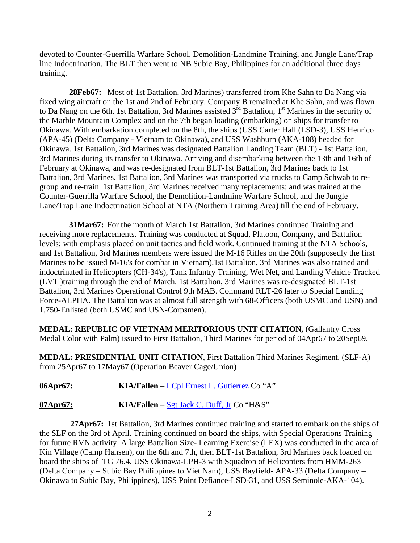devoted to Counter-Guerrilla Warfare School, Demolition-Landmine Training, and Jungle Lane/Trap line Indoctrination. The BLT then went to NB Subic Bay, Philippines for an additional three days training.

**28Feb67:** Most of 1st Battalion, 3rd Marines) transferred from Khe Sahn to Da Nang via fixed wing aircraft on the 1st and 2nd of February. Company B remained at Khe Sahn, and was flown to Da Nang on the 6th. 1st Battalion, 3rd Marines assisted  $3^{rd}$  Battalion, 1<sup>st</sup> Marines in the security of the Marble Mountain Complex and on the 7th began loading (embarking) on ships for transfer to Okinawa. With embarkation completed on the 8th, the ships (USS Carter Hall (LSD-3), USS Henrico (APA-45) (Delta Company - Vietnam to Okinawa), and USS Washburn (AKA-108) headed for Okinawa. 1st Battalion, 3rd Marines was designated Battalion Landing Team (BLT) - 1st Battalion, 3rd Marines during its transfer to Okinawa. Arriving and disembarking between the 13th and 16th of February at Okinawa, and was re-designated from BLT-1st Battalion, 3rd Marines back to 1st Battalion, 3rd Marines. 1st Battalion, 3rd Marines was transported via trucks to Camp Schwab to regroup and re-train. 1st Battalion, 3rd Marines received many replacements; and was trained at the Counter-Guerrilla Warfare School, the Demolition-Landmine Warfare School, and the Jungle Lane/Trap Lane Indoctrination School at NTA (Northern Training Area) till the end of February.

 **31Mar67:** For the month of March 1st Battalion, 3rd Marines continued Training and receiving more replacements. Training was conducted at Squad, Platoon, Company, and Battalion levels; with emphasis placed on unit tactics and field work. Continued training at the NTA Schools, and 1st Battalion, 3rd Marines members were issued the M-16 Rifles on the 20th (supposedly the first Marines to be issued M-16's for combat in Vietnam).1st Battalion, 3rd Marines was also trained and indoctrinated in Helicopters (CH-34's), Tank Infantry Training, Wet Net, and Landing Vehicle Tracked (LVT )training through the end of March. 1st Battalion, 3rd Marines was re-designated BLT-1st Battalion, 3rd Marines Operational Control 9th MAB. Command RLT-26 later to Special Landing Force-ALPHA. The Battalion was at almost full strength with 68-Officers (both USMC and USN) and 1,750-Enlisted (both USMC and USN-Corpsmen).

**MEDAL: REPUBLIC OF VIETNAM MERITORIOUS UNIT CITATION,** (Gallantry Cross Medal Color with Palm) issued to First Battalion, Third Marines for period of 04Apr67 to 20Sep69.

**MEDAL: PRESIDENTIAL UNIT CITATION**, First Battalion Third Marines Regiment, (SLF-A) from 25Apr67 to 17May67 (Operation Beaver Cage/Union)

06Apr67: KIA/Fallen – <u>LCpl Ernest L. Gutierrez</u> Co "A"

**07Apr67:** KIA/Fallen – [Sgt Jack C. Duff, Jr](http://thewall-usa.com/info.asp?recid=14067) Co "H&S"

 **27Apr67:** 1st Battalion, 3rd Marines continued training and started to embark on the ships of the SLF on the 3rd of April. Training continued on board the ships, with Special Operations Training for future RVN activity. A large Battalion Size- Learning Exercise (LEX) was conducted in the area of Kin Village (Camp Hansen), on the 6th and 7th, then BLT-1st Battalion, 3rd Marines back loaded on board the ships of TG 76.4. USS Okinawa-LPH-3 with Squadron of Helicopters from HMM-263 (Delta Company – Subic Bay Philippines to Viet Nam), USS Bayfield- APA-33 (Delta Company – Okinawa to Subic Bay, Philippines), USS Point Defiance-LSD-31, and USS Seminole-AKA-104).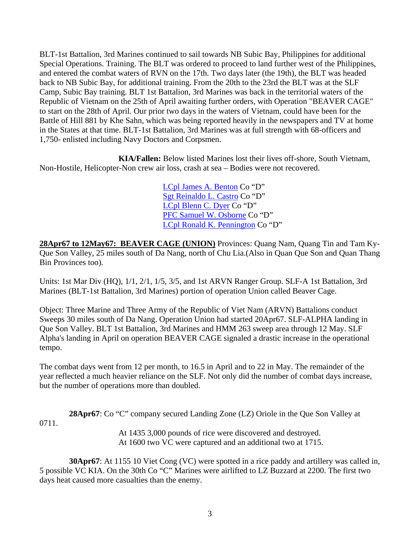BLT-1st Battalion, 3rd Marines continued to sail towards NB Subic Bay, Philippines for additional Special Operations. Training. The BLT was ordered to proceed to land further west of the Philippines, and entered the combat waters of RVN on the 17th. Two days later (the 19th), the BLT was headed back to NB Subic Bay, for additional training. From the 20th to the 23rd the BLT was at the SLF Camp, Subic Bay training. BLT 1st Battalion, 3rd Marines was back in the territorial waters of the Republic of Vietnam on the 25th of April awaiting further orders, with Operation "BEAVER CAGE" to start on the 28th of April. Our prior two days in the waters of Vietnam, could have been for the Battle of Hill 881 by Khe Sahn, which was being reported heavily in the newspapers and TV at home in the States at that time. BLT-1st Battalion, 3rd Marines was at full strength with 68-officers and 1,750- enlisted including Navy Doctors and Corpsmen.

 **KIA/Fallen:** Below listed Marines lost their lives off-shore, South Vietnam, Non-Hostile, Helicopter-Non crew air loss, crash at sea – Bodies were not recovered.

> [LCpl James A. Benton](http://thewall-usa.com/info.asp?recid=3596) Co "D" [Sgt Reinaldo L. Castro](http://thewall-usa.com/info.asp?recid=8427) Co "D" [LCpl Blenn C. Dyer](http://thewall-usa.com/info.asp?recid=14414) Co "D" [PFC Samuel W. Osborne](http://thewall-usa.com/info.asp?recid=38879) Co "D" [LCpl Ronald K. Pennington](http://thewall-usa.com/info.asp?recid=40092) Co "D"

28Apr67 to 12May67: BEAVER CAGE (UNION) Provinces: Quang Nam, Quang Tin and Tam Ky-Que Son Valley, 25 miles south of Da Nang, north of Chu Lia.(Also in Quan Que Son and Quan Thang Bin Provinces too).

Units: 1st Mar Div (HQ), 1/1, 2/1, 1/5, 3/5, and 1st ARVN Ranger Group. SLF-A 1st Battalion, 3rd Marines (BLT-1st Battalion, 3rd Marines) portion of operation Union called Beaver Cage.

Object: Three Marine and Three Army of the Republic of Viet Nam (ARVN) Battalions conduct Sweeps 30 miles south of Da Nang. Operation Union had started 20Apr67. SLF-ALPHA landing in Que Son Valley. BLT 1st Battalion, 3rd Marines and HMM 263 sweep area through 12 May. SLF Alpha's landing in April on operation BEAVER CAGE signaled a drastic increase in the operational tempo.

The combat days went from 12 per month, to 16.5 in April and to 22 in May. The remainder of the year reflected a much heavier reliance on the SLF. Not only did the number of combat days increase, but the number of operations more than doubled.

**28Apr67**: Co "C" company secured Landing Zone (LZ) Oriole in the Que Son Valley at 0711. At 1435 3,000 pounds of rice were discovered and destroyed.

At 1600 two VC were captured and an additional two at 1715.

**30Apr67**: At 1155 10 Viet Cong (VC) were spotted in a rice paddy and artillery was called in, 5 possible VC KIA. On the 30th Co "C" Marines were airlifted to LZ Buzzard at 2200. The first two days heat caused more casualties than the enemy.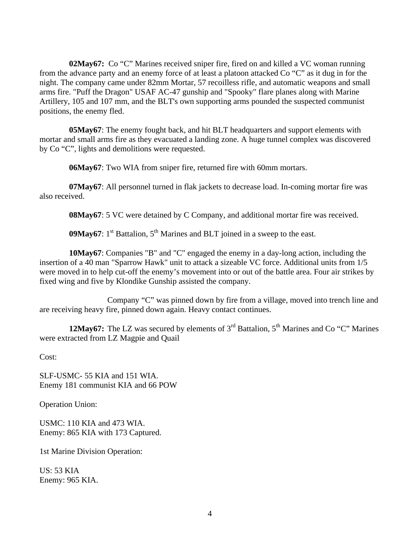**02May67:** Co "C" Marines received sniper fire, fired on and killed a VC woman running from the advance party and an enemy force of at least a platoon attacked Co "C" as it dug in for the night. The company came under 82mm Mortar, 57 recoilless rifle, and automatic weapons and small arms fire. "Puff the Dragon" USAF AC-47 gunship and "Spooky" flare planes along with Marine Artillery, 105 and 107 mm, and the BLT's own supporting arms pounded the suspected communist positions, the enemy fled.

**05May67**: The enemy fought back, and hit BLT headquarters and support elements with mortar and small arms fire as they evacuated a landing zone. A huge tunnel complex was discovered by Co "C", lights and demolitions were requested.

**06May67**: Two WIA from sniper fire, returned fire with 60mm mortars.

**07May67**: All personnel turned in flak jackets to decrease load. In-coming mortar fire was also received.

**08May67**: 5 VC were detained by C Company, and additional mortar fire was received.

**09May67**:  $1<sup>st</sup>$  Battalion,  $5<sup>th</sup>$  Marines and BLT joined in a sweep to the east.

**10May67**: Companies "B" and "C" engaged the enemy in a day-long action, including the insertion of a 40 man "Sparrow Hawk" unit to attack a sizeable VC force. Additional units from 1/5 were moved in to help cut-off the enemy's movement into or out of the battle area. Four air strikes by fixed wing and five by Klondike Gunship assisted the company.

 Company "C" was pinned down by fire from a village, moved into trench line and are receiving heavy fire, pinned down again. Heavy contact continues.

**12May67:** The LZ was secured by elements of 3<sup>rd</sup> Battalion, 5<sup>th</sup> Marines and Co "C" Marines were extracted from LZ Magpie and Quail

Cost:

SLF-USMC- 55 KIA and 151 WIA. Enemy 181 communist KIA and 66 POW

Operation Union:

USMC: 110 KIA and 473 WIA. Enemy: 865 KIA with 173 Captured.

1st Marine Division Operation:

US: 53 KIA Enemy: 965 KIA.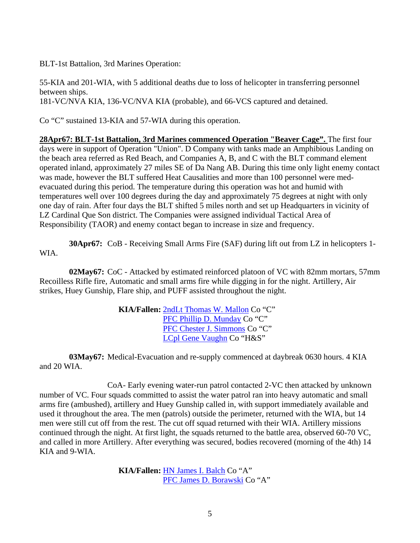BLT-1st Battalion, 3rd Marines Operation:

55-KIA and 201-WIA, with 5 additional deaths due to loss of helicopter in transferring personnel between ships. 181-VC/NVA KIA, 136-VC/NVA KIA (probable), and 66-VCS captured and detained.

Co "C" sustained 13-KIA and 57-WIA during this operation.

**28Apr67: BLT-1st Battalion, 3rd Marines commenced Operation "Beaver Cage".** The first four days were in support of Operation "Union". D Company with tanks made an Amphibious Landing on the beach area referred as Red Beach, and Companies A, B, and C with the BLT command element operated inland, approximately 27 miles SE of Da Nang AB. During this time only light enemy contact was made, however the BLT suffered Heat Causalities and more than 100 personnel were medevacuated during this period. The temperature during this operation was hot and humid with temperatures well over 100 degrees during the day and approximately 75 degrees at night with only one day of rain. After four days the BLT shifted 5 miles north and set up Headquarters in vicinity of LZ Cardinal Que Son district. The Companies were assigned individual Tactical Area of Responsibility (TAOR) and enemy contact began to increase in size and frequency.

**30Apr67:** CoB - Receiving Small Arms Fire (SAF) during lift out from LZ in helicopters 1- WIA.

 **02May67:** CoC - Attacked by estimated reinforced platoon of VC with 82mm mortars, 57mm Recoilless Rifle fire, Automatic and small arms fire while digging in for the night. Artillery, Air strikes, Huey Gunship, Flare ship, and PUFF assisted throughout the night.

> **KIA/Fallen:** [2ndLt Thomas W. Mallon](http://thewall-usa.com/info.asp?recid=32078) Co "C" [PFC Phillip D. Munday](http://thewall-usa.com/info.asp?recid=36966) Co "C" [PFC Chester J. Simmons](http://thewall-usa.com/info.asp?recid=47530) Co "C" [LCpl Gene Vaughn](http://thewall-usa.com/info.asp?recid=53546) Co "H&S"

 **03May67:** Medical-Evacuation and re-supply commenced at daybreak 0630 hours. 4 KIA and 20 WIA.

 CoA- Early evening water-run patrol contacted 2-VC then attacked by unknown number of VC. Four squads committed to assist the water patrol ran into heavy automatic and small arms fire (ambushed), artillery and Huey Gunship called in, with support immediately available and used it throughout the area. The men (patrols) outside the perimeter, returned with the WIA, but 14 men were still cut off from the rest. The cut off squad returned with their WIA. Artillery missions continued through the night. At first light, the squads returned to the battle area, observed 60-70 VC, and called in more Artillery. After everything was secured, bodies recovered (morning of the 4th) 14 KIA and 9-WIA.

> **KIA/Fallen:** [HN James I. Balch](http://thewall-usa.com/info.asp?recid=2104) Co "A" [PFC James D. Borawski](http://thewall-usa.com/info.asp?recid=4761) Co "A"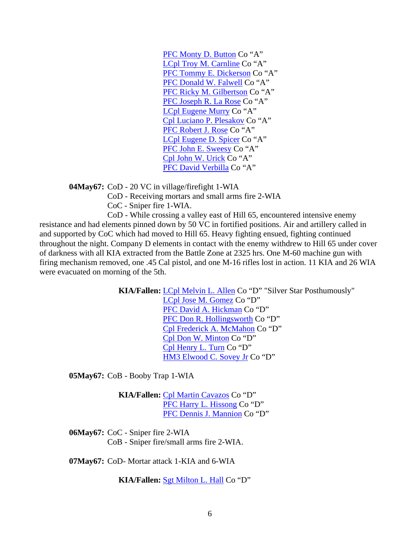[PFC Monty D. Button](http://thewall-usa.com/info.asp?recid=7196) Co "A" [LCpl Troy M. Carnline](http://thewall-usa.com/info.asp?recid=7952) Co "A" [PFC Tommy E. Dickerson](http://thewall-usa.com/info.asp?recid=13206) Co "A" [PFC Donald W. Falwell](http://thewall-usa.com/info.asp?recid=15606) Co "A" [PFC Ricky M. Gilbertson](http://thewall-usa.com/info.asp?recid=18532) Co "A" [PFC Joseph R. La Rose](http://thewall-usa.com/info.asp?recid=29637) Co "A" [LCpl Eugene Murry](http://thewall-usa.com/info.asp?recid=37156) Co "A" [Cpl Luciano P. Plesakov](http://thewall-usa.com/info.asp?recid=41034) Co "A" [PFC Robert J. Rose](http://thewall-usa.com/info.asp?recid=44472) Co "A" [LCpl Eugene D. Spicer](http://thewall-usa.com/info.asp?recid=49171) Co "A" [PFC John E. Sweesy](http://thewall-usa.com/info.asp?recid=50792) Co "A" [Cpl John W. Urick](http://thewall-usa.com/info.asp?recid=53143) Co "A" [PFC David Verbilla](http://thewall-usa.com/info.asp?recid=53647) Co "A"

**04May67:** CoD - 20 VC in village/firefight 1-WIA

CoD - Receiving mortars and small arms fire 2-WIA

CoC - Sniper fire 1-WIA.

 CoD - While crossing a valley east of Hill 65, encountered intensive enemy resistance and had elements pinned down by 50 VC in fortified positions. Air and artillery called in and supported by CoC which had moved to Hill 65. Heavy fighting ensued, fighting continued throughout the night. Company D elements in contact with the enemy withdrew to Hill 65 under cover of darkness with all KIA extracted from the Battle Zone at 2325 hrs. One M-60 machine gun with firing mechanism removed, one .45 Cal pistol, and one M-16 rifles lost in action. 11 KIA and 26 WIA were evacuated on morning of the 5th.

> **KIA/Fallen:** [LCpl Melvin L. Allen](http://thewall-usa.com/info.asp?recid=668) Co "D" "Silver Star Posthumously" [LCpl Jose M. Gomez](http://thewall-usa.com/info.asp?recid=19046) Co "D"

 [PFC David A. Hickman](http://thewall-usa.com/info.asp?recid=23007) Co "D" [PFC Don R. Hollingsworth](http://thewall-usa.com/info.asp?recid=23790) Co "D" [Cpl Frederick A. McMahon](http://thewall-usa.com/info.asp?recid=34311) Co "D" [Cpl Don W. Minton](http://thewall-usa.com/info.asp?recid=35636) Co "D" [Cpl Henry L. Turn](http://thewall-usa.com/info.asp?recid=52834) Co "D" [HM3 Elwood C. Sovey Jr](http://thewall-usa.com/info.asp?recid=48994) Co "D"

**05May67:** CoB - Booby Trap 1-WIA

 **KIA/Fallen:** [Cpl Martin Cavazos](http://thewall-usa.com/info.asp?recid=8505) Co "D" [PFC Harry L. Hissong](http://thewall-usa.com/info.asp?recid=23433) Co "D" [PFC Dennis J. Mannion](http://thewall-usa.com/info.asp?recid=32237) Co "D"

**06May67:** CoC - Sniper fire 2-WIA CoB - Sniper fire/small arms fire 2-WIA.

 **07May67:** CoD- Mortar attack 1-KIA and 6-WIA

**KIA/Fallen:** [Sgt Milton L. Hall](http://thewall-usa.com/info.asp?recid=20853) Co "D"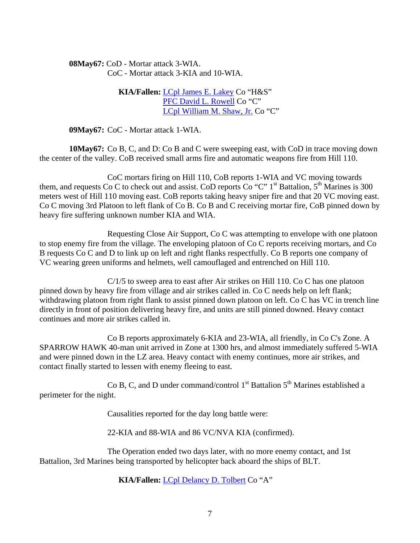**08May67:** CoD - Mortar attack 3-WIA. CoC - Mortar attack 3-KIA and 10-WIA.

> **KIA/Fallen:** [LCpl James E. Lakey](http://thewall-usa.com/info.asp?recid=29281) Co "H&S" [PFC David L. Rowell](http://thewall-usa.com/info.asp?recid=44659) Co "C" [LCpl William M. Shaw, Jr.](http://thewall-usa.com/info.asp?recid=46965) Co "C"

**09May67:** CoC - Mortar attack 1-WIA.

**10May67:** Co B, C, and D: Co B and C were sweeping east, with CoD in trace moving down the center of the valley. CoB received small arms fire and automatic weapons fire from Hill 110.

 CoC mortars firing on Hill 110, CoB reports 1-WIA and VC moving towards them, and requests Co C to check out and assist. CoD reports Co "C" 1<sup>st</sup> Battalion, 5<sup>th</sup> Marines is 300 meters west of Hill 110 moving east. CoB reports taking heavy sniper fire and that 20 VC moving east. Co C moving 3rd Platoon to left flank of Co B. Co B and C receiving mortar fire, CoB pinned down by heavy fire suffering unknown number KIA and WIA.

 Requesting Close Air Support, Co C was attempting to envelope with one platoon to stop enemy fire from the village. The enveloping platoon of Co C reports receiving mortars, and Co B requests Co C and D to link up on left and right flanks respectfully. Co B reports one company of VC wearing green uniforms and helmets, well camouflaged and entrenched on Hill 110.

 C/1/5 to sweep area to east after Air strikes on Hill 110. Co C has one platoon pinned down by heavy fire from village and air strikes called in. Co C needs help on left flank; withdrawing platoon from right flank to assist pinned down platoon on left. Co C has VC in trench line directly in front of position delivering heavy fire, and units are still pinned downed. Heavy contact continues and more air strikes called in.

 Co B reports approximately 6-KIA and 23-WIA, all friendly, in Co C's Zone. A SPARROW HAWK 40-man unit arrived in Zone at 1300 hrs, and almost immediately suffered 5-WIA and were pinned down in the LZ area. Heavy contact with enemy continues, more air strikes, and contact finally started to lessen with enemy fleeing to east.

Co B, C, and D under command/control  $1<sup>st</sup>$  Battalion  $5<sup>th</sup>$  Marines established a perimeter for the night.

Causalities reported for the day long battle were:

22-KIA and 88-WIA and 86 VC/NVA KIA (confirmed).

 The Operation ended two days later, with no more enemy contact, and 1st Battalion, 3rd Marines being transported by helicopter back aboard the ships of BLT.

**KIA/Fallen:** [LCpl Delancy D. Tolbert](http://thewall-usa.com/info.asp?recid=52241) Co "A"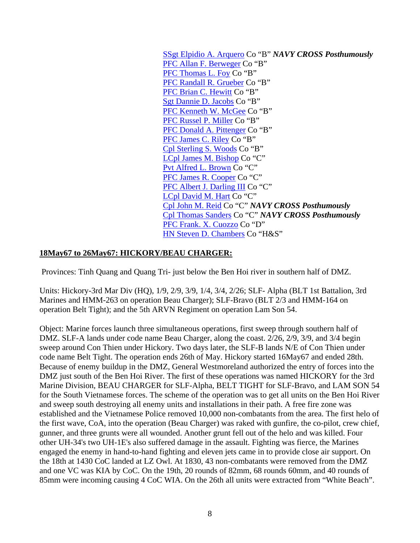[SSgt Elpidio A. Arquero](http://thewall-usa.com/info.asp?recid=1452) Co "B" *NAVY CROSS Posthumously* [PFC Allan F. Berweger](http://thewall-usa.com/info.asp?recid=3795) Co "B" [PFC Thomas L. Foy](http://thewall-usa.com/info.asp?recid=16946) Co "B" [PFC Randall R. Grueber](http://thewall-usa.com/info.asp?recid=20290) Co "B" [PFC Brian C. Hewitt](http://thewall-usa.com/info.asp?recid=22968) Co "B" [Sgt Dannie D. Jacobs](http://thewall-usa.com/info.asp?recid=25439) Co "B" [PFC Kenneth W. McGee](http://thewall-usa.com/info.asp?recid=33905) Co "B" [PFC Russel P. Miller](http://thewall-usa.com/info.asp?recid=35464) Co "B" [PFC Donald A. Pittenger](http://thewall-usa.com/info.asp?recid=40946) Co "B" [PFC James C. Riley](http://thewall-usa.com/info.asp?recid=43457) Co "B" [Cpl Sterling S. Woods](http://thewall-usa.com/info.asp?recid=57343) Co "B" [LCpl James M. Bishop](http://thewall-usa.com/info.asp?recid=4089) Co "C" [Pvt Alfred L. Brown](http://thewall-usa.com/info.asp?recid=5915) Co "C" [PFC James R. Cooper](http://thewall-usa.com/info.asp?recid=10380) Co "C" [PFC Albert J. Darling III](http://thewall-usa.com/info.asp?recid=11941) Co "C" [LCpl David M. Hart](http://thewall-usa.com/info.asp?recid=21734) Co "C" [Cpl John M. Reid](http://thewall-usa.com/info.asp?recid=42831) Co "C" *NAVY CROSS Posthumously* [Cpl Thomas Sanders](http://thewall-usa.com/info.asp?recid=45435) Co "C" *NAVY CROSS Posthumously* [PFC Frank. X. Cuozzo](http://thewall-usa.com/info.asp?recid=11516) Co "D" [HN Steven D. Chambers](http://thewall-usa.com/info.asp?recid=8640) Co "H&S"

### **18May67 to 26May67: HICKORY/BEAU CHARGER:**

Provinces: Tinh Quang and Quang Tri- just below the Ben Hoi river in southern half of DMZ.

Units: Hickory-3rd Mar Div (HQ), 1/9, 2/9, 3/9, 1/4, 3/4, 2/26; SLF- Alpha (BLT 1st Battalion, 3rd Marines and HMM-263 on operation Beau Charger); SLF-Bravo (BLT 2/3 and HMM-164 on operation Belt Tight); and the 5th ARVN Regiment on operation Lam Son 54.

Object: Marine forces launch three simultaneous operations, first sweep through southern half of DMZ. SLF-A lands under code name Beau Charger, along the coast. 2/26, 2/9, 3/9, and 3/4 begin sweep around Con Thien under Hickory. Two days later, the SLF-B lands N/E of Con Thien under code name Belt Tight. The operation ends 26th of May. Hickory started 16May67 and ended 28th. Because of enemy buildup in the DMZ, General Westmoreland authorized the entry of forces into the DMZ just south of the Ben Hoi River. The first of these operations was named HICKORY for the 3rd Marine Division, BEAU CHARGER for SLF-Alpha, BELT TIGHT for SLF-Bravo, and LAM SON 54 for the South Vietnamese forces. The scheme of the operation was to get all units on the Ben Hoi River and sweep south destroying all enemy units and installations in their path. A free fire zone was established and the Vietnamese Police removed 10,000 non-combatants from the area. The first helo of the first wave, CoA, into the operation (Beau Charger) was raked with gunfire, the co-pilot, crew chief, gunner, and three grunts were all wounded. Another grunt fell out of the helo and was killed. Four other UH-34's two UH-1E's also suffered damage in the assault. Fighting was fierce, the Marines engaged the enemy in hand-to-hand fighting and eleven jets came in to provide close air support. On the 18th at 1430 CoC landed at LZ Owl. At 1830, 43 non-combatants were removed from the DMZ and one VC was KIA by CoC. On the 19th, 20 rounds of 82mm, 68 rounds 60mm, and 40 rounds of 85mm were incoming causing 4 CoC WIA. On the 26th all units were extracted from "White Beach".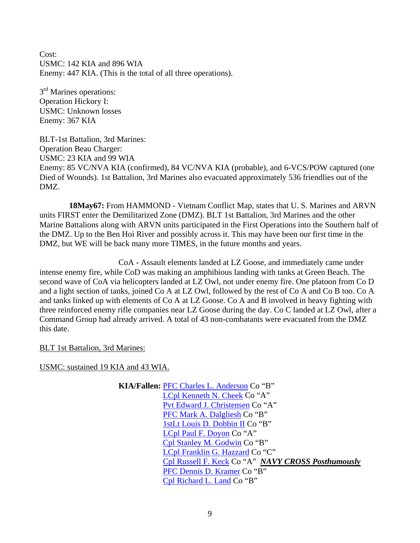Cost: USMC: 142 KIA and 896 WIA Enemy: 447 KIA. (This is the total of all three operations).

3<sup>rd</sup> Marines operations: Operation Hickory I: USMC: Unknown losses Enemy: 367 KIA

BLT-1st Battalion, 3rd Marines: Operation Beau Charger: USMC: 23 KIA and 99 WIA Enemy: 85 VC/NVA KIA (confirmed), 84 VC/NVA KIA (probable), and 6-VCS/POW captured (one Died of Wounds). 1st Battalion, 3rd Marines also evacuated approximately 536 friendlies out of the DMZ.

**18May67:** From HAMMOND - Vietnam Conflict Map, states that U. S. Marines and ARVN units FIRST enter the Demilitarized Zone (DMZ). BLT 1st Battalion, 3rd Marines and the other Marine Battalions along with ARVN units participated in the First Operations into the Southern half of the DMZ. Up to the Ben Hoi River and possibly across it. This may have been our first time in the DMZ, but WE will be back many more TIMES, in the future months and years.

 CoA - Assault elements landed at LZ Goose, and immediately came under intense enemy fire, while CoD was making an amphibious landing with tanks at Green Beach. The second wave of CoA via helicopters landed at LZ Owl, not under enemy fire. One platoon from Co D and a light section of tanks, joined Co A at LZ Owl, followed by the rest of Co A and Co B too. Co A and tanks linked up with elements of Co A at LZ Goose. Co A and B involved in heavy fighting with three reinforced enemy rifle companies near LZ Goose during the day. Co C landed at LZ Owl, after a Command Group had already arrived. A total of 43 non-combatants were evacuated from the DMZ this date.

BLT 1st Battalion, 3rd Marines:

USMC: sustained 19 KIA and 43 WIA.

 **KIA/Fallen:** [PFC Charles L. Anderson](http://thewall-usa.com/info.asp?recid=929) Co "B" [LCpl Kenneth N. Cheek](http://thewall-usa.com/info.asp?recid=8848) Co "A" [Pvt Edward J. Christensen](http://thewall-usa.com/info.asp?recid=9006) Co "A" [PFC Mark A. Dalgliesh](http://thewall-usa.com/info.asp?recid=11764) Co "B" [1stLt Louis D. Dobbin II](http://thewall-usa.com/info.asp?recid=13466) Co "B" [LCpl Paul F. Doyon](http://thewall-usa.com/info.asp?recid=13881) Co "A" [Cpl Stanley M. Godwin](http://thewall-usa.com/info.asp?recid=18913) Co "B" [LCpl Franklin G. Hazzard](http://thewall-usa.com/info.asp?recid=22219) Co "C" [Cpl Russell F. Keck](http://thewall-usa.com/info.asp?recid=27348) Co "A" *NAVY CROSS Posthumously* [PFC Dennis D. Kramer](http://thewall-usa.com/info.asp?recid=28813) Co "B" [Cpl Richard L. Land](http://thewall-usa.com/info.asp?recid=29397) Co "B"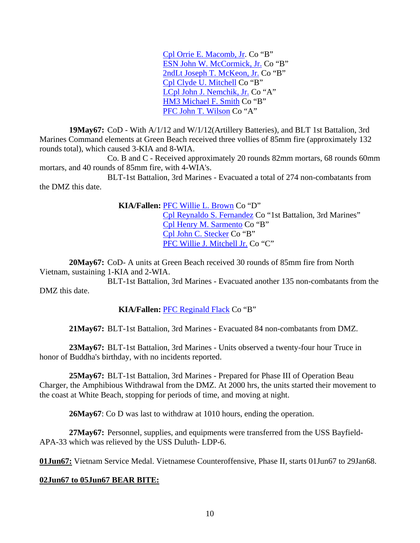[Cpl Orrie E. Macomb, Jr.](http://thewall-usa.com/info.asp?recid=31846) Co "B" [ESN John W. McCormick, Jr.](http://thewall-usa.com/info.asp?recid=33577) Co "B" [2ndLt Joseph T. McKeon, Jr.](http://thewall-usa.com/info.asp?recid=34156) Co "B" [Cpl Clyde U. Mitchell](http://thewall-usa.com/info.asp?recid=35695) Co "B" [LCpl John J. Nemchik, Jr.](http://thewall-usa.com/info.asp?recid=37630) Co "A" [HM3 Michael F. Smith](http://thewall-usa.com/info.asp?recid=48465) Co "B" [PFC John T. Wilson](http://thewall-usa.com/info.asp?recid=56742) Co "A"

**19May67:** CoD - With A/1/12 and W/1/12(Artillery Batteries), and BLT 1st Battalion, 3rd Marines Command elements at Green Beach received three vollies of 85mm fire (approximately 132 rounds total), which caused 3-KIA and 8-WIA.

 Co. B and C - Received approximately 20 rounds 82mm mortars, 68 rounds 60mm mortars, and 40 rounds of 85mm fire, with 4-WIA's.

 BLT-1st Battalion, 3rd Marines - Evacuated a total of 274 non-combatants from the DMZ this date.

> **KIA/Fallen:** [PFC Willie L. Brown](http://thewall-usa.com/info.asp?recid=6289) Co "D" [Cpl Reynaldo S. Fernandez](http://thewall-usa.com/info.asp?recid=15954) Co "1st Battalion, 3rd Marines" [Cpl Henry M. Sarmento](http://thewall-usa.com/info.asp?recid=45612) Co "B" [Cpl John C. Stecker](http://thewall-usa.com/info.asp?recid=49580) Co "B" [PFC Willie J. Mitchell Jr.](http://thewall-usa.com/info.asp?recid=35783) Co "C"

**20May67:** CoD- A units at Green Beach received 30 rounds of 85mm fire from North Vietnam, sustaining 1-KIA and 2-WIA.

 BLT-1st Battalion, 3rd Marines - Evacuated another 135 non-combatants from the DMZ this date.

### **KIA/Fallen:** [PFC Reginald Flack](http://thewall-usa.com/info.asp?recid=16336) Co "B"

**21May67:** BLT-1st Battalion, 3rd Marines - Evacuated 84 non-combatants from DMZ.

**23May67:** BLT-1st Battalion, 3rd Marines - Units observed a twenty-four hour Truce in honor of Buddha's birthday, with no incidents reported.

**25May67:** BLT-1st Battalion, 3rd Marines - Prepared for Phase III of Operation Beau Charger, the Amphibious Withdrawal from the DMZ. At 2000 hrs, the units started their movement to the coast at White Beach, stopping for periods of time, and moving at night.

**26May67**: Co D was last to withdraw at 1010 hours, ending the operation.

**27May67:** Personnel, supplies, and equipments were transferred from the USS Bayfield-APA-33 which was relieved by the USS Duluth- LDP-6.

**01Jun67:** Vietnam Service Medal. Vietnamese Counteroffensive, Phase II, starts 01Jun67 to 29Jan68.

#### **02Jun67 to 05Jun67 BEAR BITE:**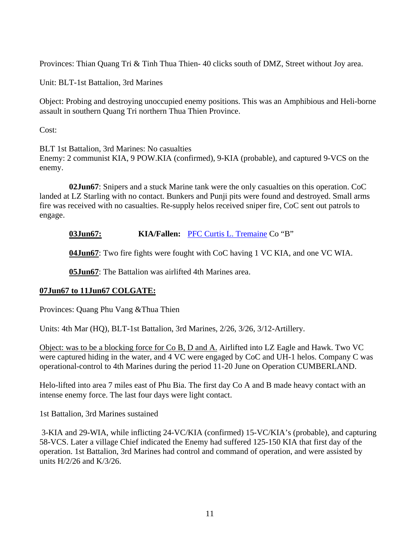Provinces: Thian Quang Tri & Tinh Thua Thien- 40 clicks south of DMZ, Street without Joy area.

Unit: BLT-1st Battalion, 3rd Marines

Object: Probing and destroying unoccupied enemy positions. This was an Amphibious and Heli-borne assault in southern Quang Tri northern Thua Thien Province.

Cost:

BLT 1st Battalion, 3rd Marines: No casualties Enemy: 2 communist KIA, 9 POW.KIA (confirmed), 9-KIA (probable), and captured 9-VCS on the enemy.

**02Jun67**: Snipers and a stuck Marine tank were the only casualties on this operation. CoC landed at LZ Starling with no contact. Bunkers and Punji pits were found and destroyed. Small arms fire was received with no casualties. Re-supply helos received sniper fire, CoC sent out patrols to engage.

**03Jun67: KIA/Fallen:** [PFC Curtis L. Tremaine](http://thewall-usa.com/info.asp?recid=52558) Co "B"

**04Jun67**: Two fire fights were fought with CoC having 1 VC KIA, and one VC WIA.

**05Jun67**: The Battalion was airlifted 4th Marines area.

## **07Jun67 to 11Jun67 COLGATE:**

Provinces: Quang Phu Vang &Thua Thien

Units: 4th Mar (HQ), BLT-1st Battalion, 3rd Marines, 2/26, 3/26, 3/12-Artillery.

Object: was to be a blocking force for Co B, D and A. Airlifted into LZ Eagle and Hawk. Two VC were captured hiding in the water, and 4 VC were engaged by CoC and UH-1 helos. Company C was operational-control to 4th Marines during the period 11-20 June on Operation CUMBERLAND.

Helo-lifted into area 7 miles east of Phu Bia. The first day Co A and B made heavy contact with an intense enemy force. The last four days were light contact.

1st Battalion, 3rd Marines sustained

 3-KIA and 29-WIA, while inflicting 24-VC/KIA (confirmed) 15-VC/KIA's (probable), and capturing 58-VCS. Later a village Chief indicated the Enemy had suffered 125-150 KIA that first day of the operation. 1st Battalion, 3rd Marines had control and command of operation, and were assisted by units H/2/26 and K/3/26.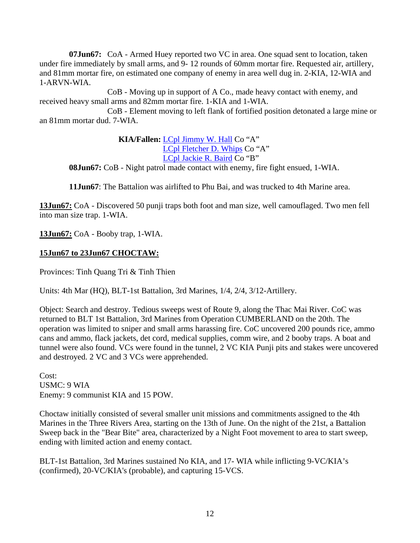**07Jun67:** CoA - Armed Huey reported two VC in area. One squad sent to location, taken under fire immediately by small arms, and 9- 12 rounds of 60mm mortar fire. Requested air, artillery, and 81mm mortar fire, on estimated one company of enemy in area well dug in. 2-KIA, 12-WIA and 1-ARVN-WIA.

 CoB - Moving up in support of A Co., made heavy contact with enemy, and received heavy small arms and 82mm mortar fire. 1-KIA and 1-WIA.

 CoB - Element moving to left flank of fortified position detonated a large mine or an 81mm mortar dud. 7-WIA.

> **KIA/Fallen:** [LCpl Jimmy W. Hall](http://thewall-usa.com/search.asp) Co "A" [LCpl Fletcher D. Whips](http://thewall-usa.com/info.asp?recid=55568) Co "A" [LCpl Jackie R. Baird](http://thewall-usa.com/info.asp?recid=1965) Co "B"

 **08Jun67:** CoB - Night patrol made contact with enemy, fire fight ensued, 1-WIA.

**11Jun67**: The Battalion was airlifted to Phu Bai, and was trucked to 4th Marine area.

**13Jun67:** CoA - Discovered 50 punji traps both foot and man size, well camouflaged. Two men fell into man size trap. 1-WIA.

**13Jun67:** CoA - Booby trap, 1-WIA.

### **15Jun67 to 23Jun67 CHOCTAW:**

Provinces: Tinh Quang Tri & Tinh Thien

Units: 4th Mar (HQ), BLT-1st Battalion, 3rd Marines, 1/4, 2/4, 3/12-Artillery.

Object: Search and destroy. Tedious sweeps west of Route 9, along the Thac Mai River. CoC was returned to BLT 1st Battalion, 3rd Marines from Operation CUMBERLAND on the 20th. The operation was limited to sniper and small arms harassing fire. CoC uncovered 200 pounds rice, ammo cans and ammo, flack jackets, det cord, medical supplies, comm wire, and 2 booby traps. A boat and tunnel were also found. VCs were found in the tunnel, 2 VC KIA Punji pits and stakes were uncovered and destroyed. 2 VC and 3 VCs were apprehended.

Cost: USMC: 9 WIA Enemy: 9 communist KIA and 15 POW.

Choctaw initially consisted of several smaller unit missions and commitments assigned to the 4th Marines in the Three Rivers Area, starting on the 13th of June. On the night of the 21st, a Battalion Sweep back in the "Bear Bite" area, characterized by a Night Foot movement to area to start sweep, ending with limited action and enemy contact.

BLT-1st Battalion, 3rd Marines sustained No KIA, and 17- WIA while inflicting 9-VC/KIA's (confirmed), 20-VC/KIA's (probable), and capturing 15-VCS.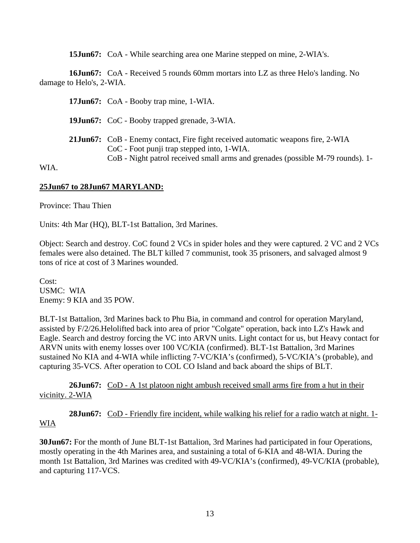**15Jun67:** CoA - While searching area one Marine stepped on mine, 2-WIA's.

**16Jun67:** CoA - Received 5 rounds 60mm mortars into LZ as three Helo's landing. No damage to Helo's, 2-WIA.

**17Jun67:** CoA - Booby trap mine, 1-WIA. **19Jun67:** CoC - Booby trapped grenade, 3-WIA. **21Jun67:** CoB - Enemy contact, Fire fight received automatic weapons fire, 2-WIA CoC - Foot punji trap stepped into, 1-WIA. CoB - Night patrol received small arms and grenades (possible M-79 rounds). 1-

**25Jun67 to 28Jun67 MARYLAND:**

Province: Thau Thien

WIA.

Units: 4th Mar (HQ), BLT-1st Battalion, 3rd Marines.

Object: Search and destroy. CoC found 2 VCs in spider holes and they were captured. 2 VC and 2 VCs females were also detained. The BLT killed 7 communist, took 35 prisoners, and salvaged almost 9 tons of rice at cost of 3 Marines wounded.

Cost: USMC: WIA Enemy: 9 KIA and 35 POW.

BLT-1st Battalion, 3rd Marines back to Phu Bia, in command and control for operation Maryland, assisted by F/2/26.Helolifted back into area of prior "Colgate" operation, back into LZ's Hawk and Eagle. Search and destroy forcing the VC into ARVN units. Light contact for us, but Heavy contact for ARVN units with enemy losses over 100 VC/KIA (confirmed). BLT-1st Battalion, 3rd Marines sustained No KIA and 4-WIA while inflicting 7-VC/KIA's (confirmed), 5-VC/KIA's (probable), and capturing 35-VCS. After operation to COL CO Island and back aboard the ships of BLT.

**26Jun67:** CoD - A 1st platoon night ambush received small arms fire from a hut in their vicinity. 2-WIA

**28Jun67:** CoD - Friendly fire incident, while walking his relief for a radio watch at night. 1- WIA

**30Jun67:** For the month of June BLT-1st Battalion, 3rd Marines had participated in four Operations, mostly operating in the 4th Marines area, and sustaining a total of 6-KIA and 48-WIA. During the month 1st Battalion, 3rd Marines was credited with 49-VC/KIA's (confirmed), 49-VC/KIA (probable), and capturing 117-VCS.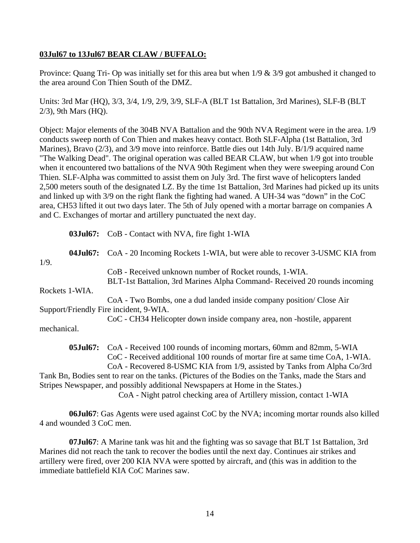### **03Jul67 to 13Jul67 BEAR CLAW / BUFFALO:**

Province: Quang Tri- Op was initially set for this area but when 1/9 & 3/9 got ambushed it changed to the area around Con Thien South of the DMZ.

Units: 3rd Mar (HQ), 3/3, 3/4, 1/9, 2/9, 3/9, SLF-A (BLT 1st Battalion, 3rd Marines), SLF-B (BLT 2/3), 9th Mars (HQ).

Object: Major elements of the 304B NVA Battalion and the 90th NVA Regiment were in the area. 1/9 conducts sweep north of Con Thien and makes heavy contact. Both SLF-Alpha (1st Battalion, 3rd Marines), Bravo (2/3), and 3/9 move into reinforce. Battle dies out 14th July. B/1/9 acquired name "The Walking Dead". The original operation was called BEAR CLAW, but when 1/9 got into trouble when it encountered two battalions of the NVA 90th Regiment when they were sweeping around Con Thien. SLF-Alpha was committed to assist them on July 3rd. The first wave of helicopters landed 2,500 meters south of the designated LZ. By the time 1st Battalion, 3rd Marines had picked up its units and linked up with 3/9 on the right flank the fighting had waned. A UH-34 was "down" in the CoC area, CH53 lifted it out two days later. The 5th of July opened with a mortar barrage on companies A and C. Exchanges of mortar and artillery punctuated the next day.

**03Jul67:** CoB - Contact with NVA, fire fight 1-WIA **04Jul67:** CoA - 20 Incoming Rockets 1-WIA, but were able to recover 3-USMC KIA from 1/9. CoB - Received unknown number of Rocket rounds, 1-WIA. BLT-1st Battalion, 3rd Marines Alpha Command- Received 20 rounds incoming Rockets 1-WIA. CoA - Two Bombs, one a dud landed inside company position/ Close Air Support/Friendly Fire incident, 9-WIA. CoC - CH34 Helicopter down inside company area, non -hostile, apparent mechanical. **05Jul67:** CoA - Received 100 rounds of incoming mortars, 60mm and 82mm, 5-WIA CoC - Received additional 100 rounds of mortar fire at same time CoA, 1-WIA.

 CoA - Recovered 8-USMC KIA from 1/9, assisted by Tanks from Alpha Co/3rd Tank Bn, Bodies sent to rear on the tanks. (Pictures of the Bodies on the Tanks, made the Stars and Stripes Newspaper, and possibly additional Newspapers at Home in the States.)

CoA - Night patrol checking area of Artillery mission, contact 1-WIA

**06Jul67**: Gas Agents were used against CoC by the NVA; incoming mortar rounds also killed 4 and wounded 3 CoC men.

**07Jul67**: A Marine tank was hit and the fighting was so savage that BLT 1st Battalion, 3rd Marines did not reach the tank to recover the bodies until the next day. Continues air strikes and artillery were fired, over 200 KIA NVA were spotted by aircraft, and (this was in addition to the immediate battlefield KIA CoC Marines saw.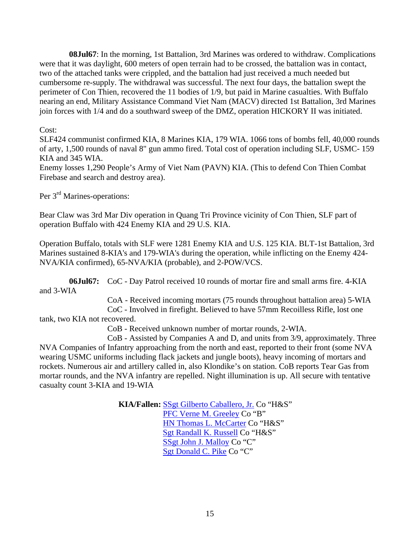**08Jul67**: In the morning, 1st Battalion, 3rd Marines was ordered to withdraw. Complications were that it was daylight, 600 meters of open terrain had to be crossed, the battalion was in contact, two of the attached tanks were crippled, and the battalion had just received a much needed but cumbersome re-supply. The withdrawal was successful. The next four days, the battalion swept the perimeter of Con Thien, recovered the 11 bodies of 1/9, but paid in Marine casualties. With Buffalo nearing an end, Military Assistance Command Viet Nam (MACV) directed 1st Battalion, 3rd Marines join forces with 1/4 and do a southward sweep of the DMZ, operation HICKORY II was initiated.

Cost:

SLF424 communist confirmed KIA, 8 Marines KIA, 179 WIA. 1066 tons of bombs fell, 40,000 rounds of arty, 1,500 rounds of naval 8" gun ammo fired. Total cost of operation including SLF, USMC- 159 KIA and 345 WIA.

Enemy losses 1,290 People's Army of Viet Nam (PAVN) KIA. (This to defend Con Thien Combat Firebase and search and destroy area).

Per 3<sup>rd</sup> Marines-operations:

Bear Claw was 3rd Mar Div operation in Quang Tri Province vicinity of Con Thien, SLF part of operation Buffalo with 424 Enemy KIA and 29 U.S. KIA.

Operation Buffalo, totals with SLF were 1281 Enemy KIA and U.S. 125 KIA. BLT-1st Battalion, 3rd Marines sustained 8-KIA's and 179-WIA's during the operation, while inflicting on the Enemy 424- NVA/KIA confirmed), 65-NVA/KIA (probable), and 2-POW/VCS.

**06Jul67:** CoC - Day Patrol received 10 rounds of mortar fire and small arms fire. 4-KIA and 3-WIA

 CoA - Received incoming mortars (75 rounds throughout battalion area) 5-WIA CoC - Involved in firefight. Believed to have 57mm Recoilless Rifle, lost one tank, two KIA not recovered.

CoB - Received unknown number of mortar rounds, 2-WIA.

 CoB - Assisted by Companies A and D, and units from 3/9, approximately. Three NVA Companies of Infantry approaching from the north and east, reported to their front (some NVA wearing USMC uniforms including flack jackets and jungle boots), heavy incoming of mortars and rockets. Numerous air and artillery called in, also Klondike's on station. CoB reports Tear Gas from mortar rounds, and the NVA infantry are repelled. Night illumination is up. All secure with tentative casualty count 3-KIA and 19-WIA

> **KIA/Fallen:** [SSgt Gilberto Caballero, Jr.](http://thewall-usa.com/info.asp?recid=7296) Co "H&S" [PFC Verne M. Greeley](http://thewall-usa.com/info.asp?recid=19743) Co "B" [HN Thomas L. McCarter](http://thewall-usa.com/info.asp?recid=33373) Co "H&S" [Sgt Randall K. Russell](http://thewall-usa.com/info.asp?recid=44991) Co "H&S" [SSgt John J. Malloy](http://thewall-usa.com/info.asp?recid=32085) Co "C" [Sgt Donald C. Pike](http://thewall-usa.com/info.asp?recid=40831) Co "C"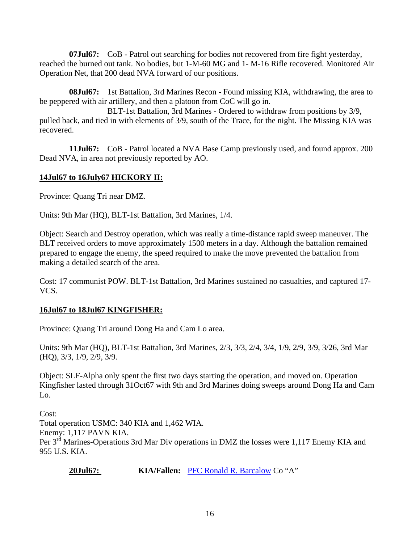**07Jul67:** CoB - Patrol out searching for bodies not recovered from fire fight yesterday, reached the burned out tank. No bodies, but 1-M-60 MG and 1- M-16 Rifle recovered. Monitored Air Operation Net, that 200 dead NVA forward of our positions.

 **08Jul67:** 1st Battalion, 3rd Marines Recon - Found missing KIA, withdrawing, the area to be peppered with air artillery, and then a platoon from CoC will go in.

 BLT-1st Battalion, 3rd Marines - Ordered to withdraw from positions by 3/9, pulled back, and tied in with elements of 3/9, south of the Trace, for the night. The Missing KIA was recovered.

**11Jul67:** CoB - Patrol located a NVA Base Camp previously used, and found approx. 200 Dead NVA, in area not previously reported by AO.

## **14Jul67 to 16July67 HICKORY II:**

Province: Quang Tri near DMZ.

Units: 9th Mar (HQ), BLT-1st Battalion, 3rd Marines, 1/4.

Object: Search and Destroy operation, which was really a time-distance rapid sweep maneuver. The BLT received orders to move approximately 1500 meters in a day. Although the battalion remained prepared to engage the enemy, the speed required to make the move prevented the battalion from making a detailed search of the area.

Cost: 17 communist POW. BLT-1st Battalion, 3rd Marines sustained no casualties, and captured 17- VCS.

## **16Jul67 to 18Jul67 KINGFISHER:**

Province: Quang Tri around Dong Ha and Cam Lo area.

Units: 9th Mar (HQ), BLT-1st Battalion, 3rd Marines, 2/3, 3/3, 2/4, 3/4, 1/9, 2/9, 3/9, 3/26, 3rd Mar (HQ), 3/3, 1/9, 2/9, 3/9.

Object: SLF-Alpha only spent the first two days starting the operation, and moved on. Operation Kingfisher lasted through 31Oct67 with 9th and 3rd Marines doing sweeps around Dong Ha and Cam Lo.

Cost: Total operation USMC: 340 KIA and 1,462 WIA. Enemy: 1,117 PAVN KIA. Per 3<sup>rd</sup> Marines-Operations 3rd Mar Div operations in DMZ the losses were 1,117 Enemy KIA and 955 U.S. KIA.

20Jul67: **KIA/Fallen:** [PFC Ronald R. Barcalow](http://thewall-usa.com/info.asp?recid=2380) Co "A"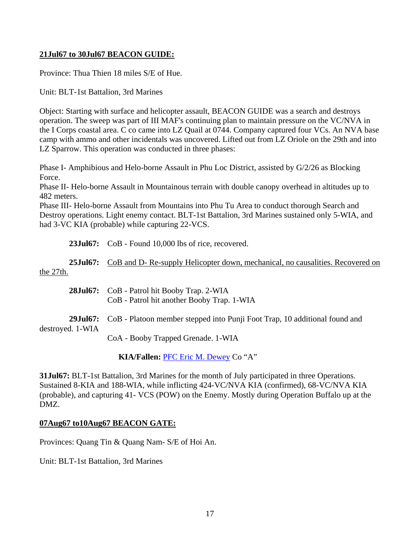### **21Jul67 to 30Jul67 BEACON GUIDE:**

Province: Thua Thien 18 miles S/E of Hue.

Unit: BLT-1st Battalion, 3rd Marines

Object: Starting with surface and helicopter assault, BEACON GUIDE was a search and destroys operation. The sweep was part of III MAF's continuing plan to maintain pressure on the VC/NVA in the I Corps coastal area. C co came into LZ Quail at 0744. Company captured four VCs. An NVA base camp with ammo and other incidentals was uncovered. Lifted out from LZ Oriole on the 29th and into LZ Sparrow. This operation was conducted in three phases:

Phase I- Amphibious and Helo-borne Assault in Phu Loc District, assisted by G/2/26 as Blocking Force.

Phase II- Helo-borne Assault in Mountainous terrain with double canopy overhead in altitudes up to 482 meters.

Phase III- Helo-borne Assault from Mountains into Phu Tu Area to conduct thorough Search and Destroy operations. Light enemy contact. BLT-1st Battalion, 3rd Marines sustained only 5-WIA, and had 3-VC KIA (probable) while capturing 22-VCS.

**23Jul67:** CoB - Found 10,000 lbs of rice, recovered.

25Jul67: CoB and D- Re-supply Helicopter down, mechanical, no causalities. Recovered on the 27th.

|                  | <b>28Jul67:</b> CoB - Patrol hit Booby Trap. 2-WIA<br>CoB - Patrol hit another Booby Trap. 1-WIA |
|------------------|--------------------------------------------------------------------------------------------------|
| destroyed. 1-WIA | <b>29Jul67:</b> CoB - Platoon member stepped into Punji Foot Trap, 10 additional found and       |
|                  | CoA - Booby Trapped Grenade. 1-WIA                                                               |

**KIA/Fallen:** [PFC Eric M. Dewey](http://thewall-usa.com/info.asp?recid=13105) Co "A"

**31Jul67:** BLT-1st Battalion, 3rd Marines for the month of July participated in three Operations. Sustained 8-KIA and 188-WIA, while inflicting 424-VC/NVA KIA (confirmed), 68-VC/NVA KIA (probable), and capturing 41- VCS (POW) on the Enemy. Mostly during Operation Buffalo up at the DMZ.

#### **07Aug67 to10Aug67 BEACON GATE:**

Provinces: Quang Tin & Quang Nam- S/E of Hoi An.

Unit: BLT-1st Battalion, 3rd Marines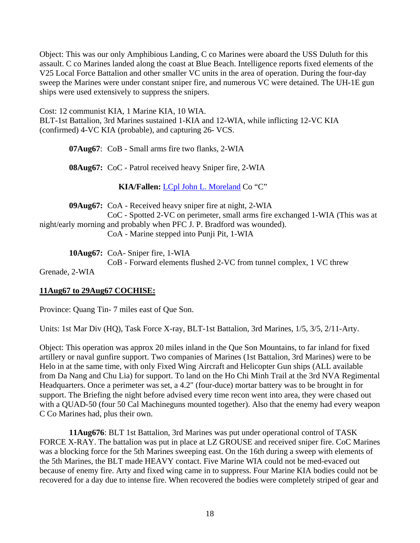Object: This was our only Amphibious Landing, C co Marines were aboard the USS Duluth for this assault. C co Marines landed along the coast at Blue Beach. Intelligence reports fixed elements of the V25 Local Force Battalion and other smaller VC units in the area of operation. During the four-day sweep the Marines were under constant sniper fire, and numerous VC were detained. The UH-1E gun ships were used extensively to suppress the snipers.

Cost: 12 communist KIA, 1 Marine KIA, 10 WIA. BLT-1st Battalion, 3rd Marines sustained 1-KIA and 12-WIA, while inflicting 12-VC KIA (confirmed) 4-VC KIA (probable), and capturing 26- VCS.

**07Aug67**: CoB - Small arms fire two flanks, 2-WIA

**08Aug67:** CoC - Patrol received heavy Sniper fire, 2-WIA

**KIA/Fallen:** [LCpl John L. Moreland](http://thewall-usa.com/info.asp?recid=36360) Co "C"

**09Aug67:** CoA - Received heavy sniper fire at night, 2-WIA CoC - Spotted 2-VC on perimeter, small arms fire exchanged 1-WIA (This was at night/early morning and probably when PFC J. P. Bradford was wounded). CoA - Marine stepped into Punji Pit, 1-WIA

**10Aug67:** CoA- Sniper fire, 1-WIA

CoB - Forward elements flushed 2-VC from tunnel complex, 1 VC threw

Grenade, 2-WIA

### **11Aug67 to 29Aug67 COCHISE:**

Province: Quang Tin- 7 miles east of Que Son.

Units: 1st Mar Div (HQ), Task Force X-ray, BLT-1st Battalion, 3rd Marines, 1/5, 3/5, 2/11-Arty.

Object: This operation was approx 20 miles inland in the Que Son Mountains, to far inland for fixed artillery or naval gunfire support. Two companies of Marines (1st Battalion, 3rd Marines) were to be Helo in at the same time, with only Fixed Wing Aircraft and Helicopter Gun ships (ALL available from Da Nang and Chu Lia) for support. To land on the Ho Chi Minh Trail at the 3rd NVA Regimental Headquarters. Once a perimeter was set, a 4.2" (four-duce) mortar battery was to be brought in for support. The Briefing the night before advised every time recon went into area, they were chased out with a QUAD-50 (four 50 Cal Machineguns mounted together). Also that the enemy had every weapon C Co Marines had, plus their own.

**11Aug676**: BLT 1st Battalion, 3rd Marines was put under operational control of TASK FORCE X-RAY. The battalion was put in place at LZ GROUSE and received sniper fire. CoC Marines was a blocking force for the 5th Marines sweeping east. On the 16th during a sweep with elements of the 5th Marines, the BLT made HEAVY contact. Five Marine WIA could not be med-evaced out because of enemy fire. Arty and fixed wing came in to suppress. Four Marine KIA bodies could not be recovered for a day due to intense fire. When recovered the bodies were completely striped of gear and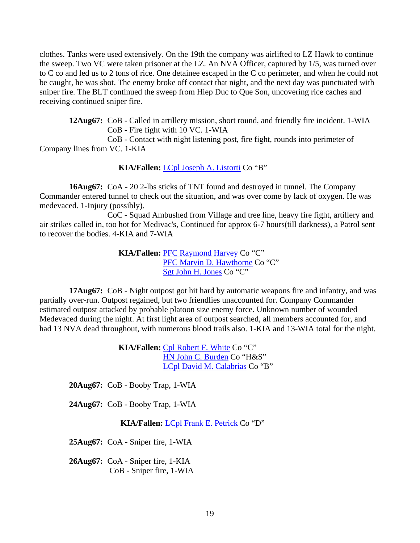clothes. Tanks were used extensively. On the 19th the company was airlifted to LZ Hawk to continue the sweep. Two VC were taken prisoner at the LZ. An NVA Officer, captured by 1/5, was turned over to C co and led us to 2 tons of rice. One detainee escaped in the C co perimeter, and when he could not be caught, he was shot. The enemy broke off contact that night, and the next day was punctuated with sniper fire. The BLT continued the sweep from Hiep Duc to Que Son, uncovering rice caches and receiving continued sniper fire.

**12Aug67:** CoB - Called in artillery mission, short round, and friendly fire incident. 1-WIA CoB - Fire fight with 10 VC. 1-WIA

 CoB - Contact with night listening post, fire fight, rounds into perimeter of Company lines from VC. 1-KIA

**KIA/Fallen:** [LCpl Joseph A. Listorti](http://thewall-usa.com/info.asp?recid=30806) Co "B"

**16Aug67:** CoA - 20 2-lbs sticks of TNT found and destroyed in tunnel. The Company Commander entered tunnel to check out the situation, and was over come by lack of oxygen. He was medevaced. 1-Injury (possibly).

 CoC - Squad Ambushed from Village and tree line, heavy fire fight, artillery and air strikes called in, too hot for Medivac's, Continued for approx 6-7 hours(till darkness), a Patrol sent to recover the bodies. 4-KIA and 7-WIA

> **KIA/Fallen:** [PFC Raymond Harvey](http://thewall-usa.com/info.asp?recid=21845) Co "C" [PFC Marvin D. Hawthorne](http://thewall-usa.com/info.asp?recid=22078) Co "C" [Sgt John H. Jones](http://thewall-usa.com/info.asp?recid=26714) Co "C"

**17Aug67:** CoB - Night outpost got hit hard by automatic weapons fire and infantry, and was partially over-run. Outpost regained, but two friendlies unaccounted for. Company Commander estimated outpost attacked by probable platoon size enemy force. Unknown number of wounded Medevaced during the night. At first light area of outpost searched, all members accounted for, and had 13 NVA dead throughout, with numerous blood trails also. 1-KIA and 13-WIA total for the night.

> **KIA/Fallen:** [Cpl Robert F. White](http://thewall-usa.com/info.asp?recid=55719) Co "C" [HN John C. Burden](http://thewall-usa.com/info.asp?recid=6732) Co "H&S" [LCpl David M. Calabrias](http://thewall-usa.com/info.asp?recid=7396) Co "B"

**20Aug67:** CoB - Booby Trap, 1-WIA

**24Aug67:** CoB - Booby Trap, 1-WIA

**KIA/Fallen:** [LCpl Frank E. Petrick](http://thewall-usa.com/info.asp?recid=40482) Co "D"

**25Aug67:** CoA - Sniper fire, 1-WIA

**26Aug67:** CoA - Sniper fire, 1-KIA CoB - Sniper fire, 1-WIA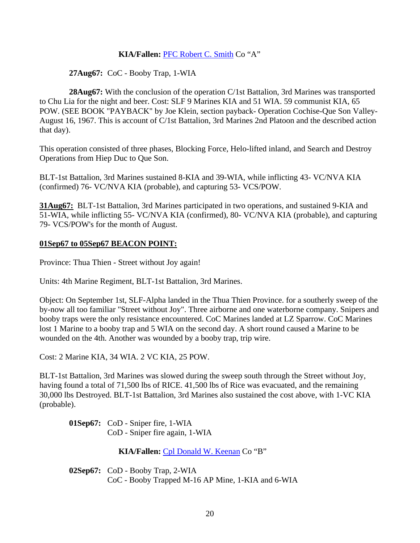### **KIA/Fallen:** [PFC Robert C. Smith](http://thewall-usa.com/info.asp?recid=48539) Co "A"

### **27Aug67:** CoC - Booby Trap, 1-WIA

 **28Aug67:** With the conclusion of the operation C/1st Battalion, 3rd Marines was transported to Chu Lia for the night and beer. Cost: SLF 9 Marines KIA and 51 WIA. 59 communist KIA, 65 POW. (SEE BOOK "PAYBACK" by Joe Klein, section payback- Operation Cochise-Que Son Valley-August 16, 1967. This is account of C/1st Battalion, 3rd Marines 2nd Platoon and the described action that day).

This operation consisted of three phases, Blocking Force, Helo-lifted inland, and Search and Destroy Operations from Hiep Duc to Que Son.

BLT-1st Battalion, 3rd Marines sustained 8-KIA and 39-WIA, while inflicting 43- VC/NVA KIA (confirmed) 76- VC/NVA KIA (probable), and capturing 53- VCS/POW.

**31Aug67:** BLT-1st Battalion, 3rd Marines participated in two operations, and sustained 9-KIA and 51-WIA, while inflicting 55- VC/NVA KIA (confirmed), 80- VC/NVA KIA (probable), and capturing 79- VCS/POW's for the month of August.

#### **01Sep67 to 05Sep67 BEACON POINT:**

Province: Thua Thien - Street without Joy again!

Units: 4th Marine Regiment, BLT-1st Battalion, 3rd Marines.

Object: On September 1st, SLF-Alpha landed in the Thua Thien Province. for a southerly sweep of the by-now all too familiar "Street without Joy". Three airborne and one waterborne company. Snipers and booby traps were the only resistance encountered. CoC Marines landed at LZ Sparrow. CoC Marines lost 1 Marine to a booby trap and 5 WIA on the second day. A short round caused a Marine to be wounded on the 4th. Another was wounded by a booby trap, trip wire.

Cost: 2 Marine KIA, 34 WIA. 2 VC KIA, 25 POW.

BLT-1st Battalion, 3rd Marines was slowed during the sweep south through the Street without Joy, having found a total of 71,500 lbs of RICE. 41,500 lbs of Rice was evacuated, and the remaining 30,000 lbs Destroyed. BLT-1st Battalion, 3rd Marines also sustained the cost above, with 1-VC KIA (probable).

**01Sep67:** CoD - Sniper fire, 1-WIA CoD - Sniper fire again, 1-WIA

**KIA/Fallen:** [Cpl Donald W. Keenan](http://thewall-usa.com/info.asp?recid=27389) Co "B"

**02Sep67:** CoD - Booby Trap, 2-WIA CoC - Booby Trapped M-16 AP Mine, 1-KIA and 6-WIA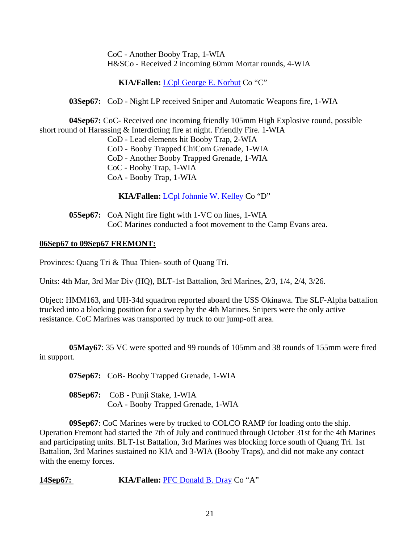CoC - Another Booby Trap, 1-WIA H&SCo - Received 2 incoming 60mm Mortar rounds, 4-WIA

**KIA/Fallen:** [LCpl George E. Norbut](http://thewall-usa.com/info.asp?recid=38043) Co "C"

**03Sep67:** CoD - Night LP received Sniper and Automatic Weapons fire, 1-WIA

**04Sep67:** CoC- Received one incoming friendly 105mm High Explosive round, possible short round of Harassing & Interdicting fire at night. Friendly Fire. 1-WIA

CoD - Lead elements hit Booby Trap, 2-WIA

CoD - Booby Trapped ChiCom Grenade, 1-WIA

CoD - Another Booby Trapped Grenade, 1-WIA

CoC - Booby Trap, 1-WIA

CoA - Booby Trap, 1-WIA

**KIA/Fallen:** [LCpl Johnnie W. Kelley](http://thewall-usa.com/info.asp?recid=27520) Co "D"

 **05Sep67:** CoA Night fire fight with 1-VC on lines, 1-WIA CoC Marines conducted a foot movement to the Camp Evans area.

### **06Sep67 to 09Sep67 FREMONT:**

Provinces: Quang Tri & Thua Thien- south of Quang Tri.

Units: 4th Mar, 3rd Mar Div (HQ), BLT-1st Battalion, 3rd Marines, 2/3, 1/4, 2/4, 3/26.

Object: HMM163, and UH-34d squadron reported aboard the USS Okinawa. The SLF-Alpha battalion trucked into a blocking position for a sweep by the 4th Marines. Snipers were the only active resistance. CoC Marines was transported by truck to our jump-off area.

**05May67**: 35 VC were spotted and 99 rounds of 105mm and 38 rounds of 155mm were fired in support.

**07Sep67:** CoB- Booby Trapped Grenade, 1-WIA

**08Sep67:** CoB - Punji Stake, 1-WIA CoA - Booby Trapped Grenade, 1-WIA

**09Sep67**: CoC Marines were by trucked to COLCO RAMP for loading onto the ship. Operation Fremont had started the 7th of July and continued through October 31st for the 4th Marines and participating units. BLT-1st Battalion, 3rd Marines was blocking force south of Quang Tri. 1st Battalion, 3rd Marines sustained no KIA and 3-WIA (Booby Traps), and did not make any contact with the enemy forces.

**14Sep67: KIA/Fallen:** [PFC Donald B. Dray](http://thewall-usa.com/info.asp?recid=13933) Co "A"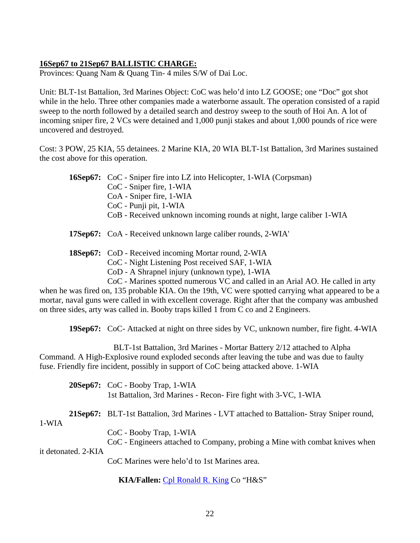### **16Sep67 to 21Sep67 BALLISTIC CHARGE:**

Provinces: Quang Nam & Quang Tin- 4 miles S/W of Dai Loc.

Unit: BLT-1st Battalion, 3rd Marines Object: CoC was helo'd into LZ GOOSE; one "Doc" got shot while in the helo. Three other companies made a waterborne assault. The operation consisted of a rapid sweep to the north followed by a detailed search and destroy sweep to the south of Hoi An. A lot of incoming sniper fire, 2 VCs were detained and 1,000 punji stakes and about 1,000 pounds of rice were uncovered and destroyed.

Cost: 3 POW, 25 KIA, 55 detainees. 2 Marine KIA, 20 WIA BLT-1st Battalion, 3rd Marines sustained the cost above for this operation.

| <b>16Sep67:</b> CoC - Sniper fire into LZ into Helicopter, 1-WIA (Corpsman) |
|-----------------------------------------------------------------------------|
| CoC - Sniper fire, 1-WIA                                                    |
| CoA - Sniper fire, 1-WIA                                                    |
| CoC - Punji pit, 1-WIA                                                      |
| CoB - Received unknown incoming rounds at night, large caliber 1-WIA        |
|                                                                             |

**17Sep67:** CoA - Received unknown large caliber rounds, 2-WIA'

**18Sep67:** CoD - Received incoming Mortar round, 2-WIA CoC - Night Listening Post received SAF, 1-WIA CoD - A Shrapnel injury (unknown type), 1-WIA

CoC - Marines spotted numerous VC and called in an Arial AO. He called in arty

when he was fired on, 135 probable KIA. On the 19th, VC were spotted carrying what appeared to be a mortar, naval guns were called in with excellent coverage. Right after that the company was ambushed on three sides, arty was called in. Booby traps killed 1 from C co and 2 Engineers.

**19Sep67:** CoC- Attacked at night on three sides by VC, unknown number, fire fight. 4-WIA

 BLT-1st Battalion, 3rd Marines - Mortar Battery 2/12 attached to Alpha Command. A High-Explosive round exploded seconds after leaving the tube and was due to faulty fuse. Friendly fire incident, possibly in support of CoC being attacked above. 1-WIA

**20Sep67:** CoC - Booby Trap, 1-WIA 1st Battalion, 3rd Marines - Recon- Fire fight with 3-VC, 1-WIA

**21Sep67:** BLT-1st Battalion, 3rd Marines - LVT attached to Battalion- Stray Sniper round,

1-WIA

CoC - Booby Trap, 1-WIA

 CoC - Engineers attached to Company, probing a Mine with combat knives when it detonated. 2-KIA

CoC Marines were helo'd to 1st Marines area.

**KIA/Fallen:** [Cpl Ronald R. King](http://thewall-usa.com/info.asp?recid=28101) Co "H&S"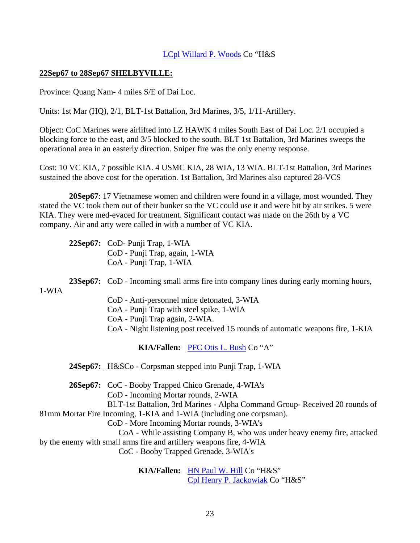#### [LCpl Willard P. Woods](http://thewall-usa.com/info.asp?recid=57345) Co "H&S

### **22Sep67 to 28Sep67 SHELBYVILLE:**

Province: Quang Nam- 4 miles S/E of Dai Loc.

Units: 1st Mar (HQ), 2/1, BLT-1st Battalion, 3rd Marines, 3/5, 1/11-Artillery.

Object: CoC Marines were airlifted into LZ HAWK 4 miles South East of Dai Loc. 2/1 occupied a blocking force to the east, and 3/5 blocked to the south. BLT 1st Battalion, 3rd Marines sweeps the operational area in an easterly direction. Sniper fire was the only enemy response.

Cost: 10 VC KIA, 7 possible KIA. 4 USMC KIA, 28 WIA, 13 WIA. BLT-1st Battalion, 3rd Marines sustained the above cost for the operation. 1st Battalion, 3rd Marines also captured 28-VCS

**20Sep67**: 17 Vietnamese women and children were found in a village, most wounded. They stated the VC took them out of their bunker so the VC could use it and were hit by air strikes. 5 were KIA. They were med-evaced for treatment. Significant contact was made on the 26th by a VC company. Air and arty were called in with a number of VC KIA.

**22Sep67:** CoD- Punji Trap, 1-WIA CoD - Punji Trap, again, 1-WIA CoA - Punji Trap, 1-WIA

**23Sep67:** CoD - Incoming small arms fire into company lines during early morning hours,

1-WIA

CoD - Anti-personnel mine detonated, 3-WIA

CoA - Punji Trap with steel spike, 1-WIA

CoA - Punji Trap again, 2-WIA.

CoA - Night listening post received 15 rounds of automatic weapons fire, 1-KIA

**KIA/Fallen:** [PFC Otis L. Bush](http://thewall-usa.com/info.asp?recid=7082) Co "A"

**24Sep67:** H&SCo - Corpsman stepped into Punji Trap, 1-WIA

**26Sep67:** CoC - Booby Trapped Chico Grenade, 4-WIA's

CoD - Incoming Mortar rounds, 2-WIA

 BLT-1st Battalion, 3rd Marines - Alpha Command Group- Received 20 rounds of 81mm Mortar Fire Incoming, 1-KIA and 1-WIA (including one corpsman).

CoD - More Incoming Mortar rounds, 3-WIA's

 CoA - While assisting Company B, who was under heavy enemy fire, attacked by the enemy with small arms fire and artillery weapons fire, 4-WIA

CoC - Booby Trapped Grenade, 3-WIA's

 **KIA/Fallen:** [HN Paul W. Hill](http://thewall-usa.com/info.asp?recid=23234) Co "H&S" [Cpl Henry P. Jackowiak](http://thewall-usa.com/info.asp?recid=25250) Co "H&S"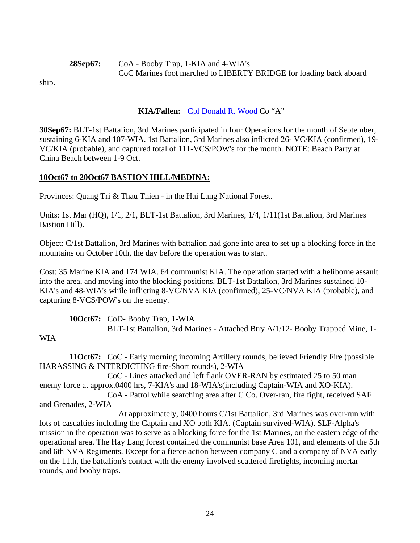**28Sep67:** CoA - Booby Trap, 1-KIA and 4-WIA's CoC Marines foot marched to LIBERTY BRIDGE for loading back aboard

ship.

## **KIA/Fallen:** [Cpl Donald R. Wood](http://thewall-usa.com/info.asp?recid=57195) Co "A"

**30Sep67:** BLT-1st Battalion, 3rd Marines participated in four Operations for the month of September, sustaining 6-KIA and 107-WIA. 1st Battalion, 3rd Marines also inflicted 26- VC/KIA (confirmed), 19- VC/KIA (probable), and captured total of 111-VCS/POW's for the month. NOTE: Beach Party at China Beach between 1-9 Oct.

## **10Oct67 to 20Oct67 BASTION HILL/MEDINA:**

Provinces: Quang Tri & Thau Thien - in the Hai Lang National Forest.

Units: 1st Mar (HQ), 1/1, 2/1, BLT-1st Battalion, 3rd Marines, 1/4, 1/11(1st Battalion, 3rd Marines Bastion Hill).

Object: C/1st Battalion, 3rd Marines with battalion had gone into area to set up a blocking force in the mountains on October 10th, the day before the operation was to start.

Cost: 35 Marine KIA and 174 WIA. 64 communist KIA. The operation started with a heliborne assault into the area, and moving into the blocking positions. BLT-1st Battalion, 3rd Marines sustained 10- KIA's and 48-WIA's while inflicting 8-VC/NVA KIA (confirmed), 25-VC/NVA KIA (probable), and capturing 8-VCS/POW's on the enemy.

**10Oct67:** CoD- Booby Trap, 1-WIA BLT-1st Battalion, 3rd Marines - Attached Btry A/1/12- Booby Trapped Mine, 1-

### WIA

**11Oct67:** CoC - Early morning incoming Artillery rounds, believed Friendly Fire (possible HARASSING & INTERDICTING fire-Short rounds), 2-WIA

 CoC - Lines attacked and left flank OVER-RAN by estimated 25 to 50 man enemy force at approx.0400 hrs, 7-KIA's and 18-WIA's(including Captain-WIA and XO-KIA).

 CoA - Patrol while searching area after C Co. Over-ran, fire fight, received SAF and Grenades, 2-WIA

 At approximately, 0400 hours C/1st Battalion, 3rd Marines was over-run with lots of casualties including the Captain and XO both KIA. (Captain survived-WIA). SLF-Alpha's mission in the operation was to serve as a blocking force for the 1st Marines, on the eastern edge of the operational area. The Hay Lang forest contained the communist base Area 101, and elements of the 5th and 6th NVA Regiments. Except for a fierce action between company C and a company of NVA early on the 11th, the battalion's contact with the enemy involved scattered firefights, incoming mortar rounds, and booby traps.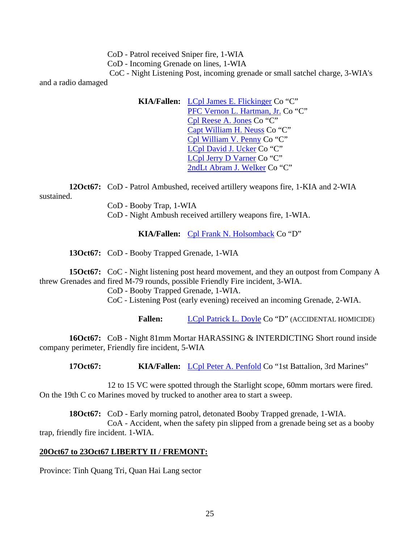CoD - Patrol received Sniper fire, 1-WIA

CoD - Incoming Grenade on lines, 1-WIA

 CoC - Night Listening Post, incoming grenade or small satchel charge, 3-WIA's and a radio damaged

> **KIA/Fallen:** [LCpl James E. Flickinger](http://thewall-usa.com/info.asp?recid=16439) Co "C" [PFC Vernon L. Hartman, Jr.](http://thewall-usa.com/info.asp?recid=21792) Co "C" [Cpl Reese A. Jones](http://thewall-usa.com/info.asp?recid=26803) Co "C" [Capt William H. Neuss](http://thewall-usa.com/info.asp?recid=37687) Co "C" [Cpl William V. Penny](http://thewall-usa.com/info.asp?recid=40096) Co "C" [LCpl David J. Ucker](http://thewall-usa.com/info.asp?recid=53023) Co "C" [LCpl Jerry D Varner](http://thewall-usa.com/info.asp?recid=53479) Co "C" [2ndLt Abram J. Welker](http://thewall-usa.com/info.asp?recid=55207) Co "C"

**12Oct67:** CoD - Patrol Ambushed, received artillery weapons fire, 1-KIA and 2-WIA sustained.

CoD - Booby Trap, 1-WIA

CoD - Night Ambush received artillery weapons fire, 1-WIA.

**KIA/Fallen:** [Cpl Frank N. Holsomback](http://thewall-usa.com/info.asp?recid=23894) Co "D"

**13Oct67:** CoD - Booby Trapped Grenade, 1-WIA

**15Oct67:** CoC - Night listening post heard movement, and they an outpost from Company A threw Grenades and fired M-79 rounds, possible Friendly Fire incident, 3-WIA.

CoD - Booby Trapped Grenade, 1-WIA.

CoC - Listening Post (early evening) received an incoming Grenade, 2-WIA.

Fallen: [LCpl Patrick L. Doyle](http://thewall-usa.com/info.asp?recid=13876) Co "D" (ACCIDENTAL HOMICIDE)

**16Oct67:** CoB - Night 81mm Mortar HARASSING & INTERDICTING Short round inside company perimeter, Friendly fire incident, 5-WIA

 **17Oct67: KIA/Fallen:** [LCpl Peter A. Penfold](http://thewall-usa.com/info.asp?recid=40058) Co "1st Battalion, 3rd Marines"

 12 to 15 VC were spotted through the Starlight scope, 60mm mortars were fired. On the 19th C co Marines moved by trucked to another area to start a sweep.

**18Oct67:** CoD - Early morning patrol, detonated Booby Trapped grenade, 1-WIA. CoA - Accident, when the safety pin slipped from a grenade being set as a booby trap, friendly fire incident. 1-WIA.

## **20Oct67 to 23Oct67 LIBERTY II / FREMONT:**

Province: Tinh Quang Tri, Quan Hai Lang sector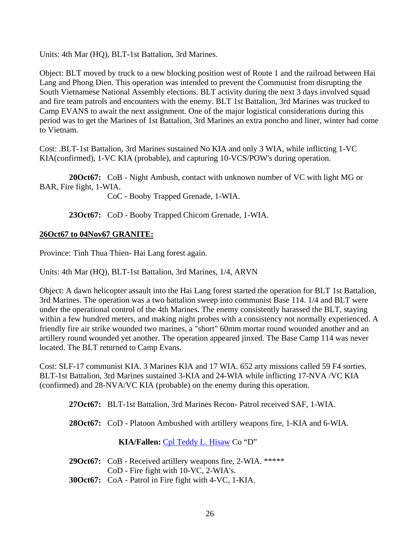Units: 4th Mar (HQ), BLT-1st Battalion, 3rd Marines.

Object: BLT moved by truck to a new blocking position west of Route 1 and the railroad between Hai Lang and Phong Dien. This operation was intended to prevent the Communist from disrupting the South Vietnamese National Assembly elections. BLT activity during the next 3 days involved squad and fire team patrols and encounters with the enemy. BLT 1st Battalion, 3rd Marines was trucked to Camp EVANS to await the next assignment. One of the major logistical considerations during this period was to get the Marines of 1st Battalion, 3rd Marines an extra poncho and liner, winter had come to Vietnam.

Cost: .BLT-1st Battalion, 3rd Marines sustained No KIA and only 3 WIA, while inflicting 1-VC KIA(confirmed), 1-VC KIA (probable), and capturing 10-VCS/POW's during operation.

**20Oct67:** CoB - Night Ambush, contact with unknown number of VC with light MG or BAR, Fire fight, 1-WIA.

CoC - Booby Trapped Grenade, 1-WIA.

**23Oct67:** CoD - Booby Trapped Chicom Grenade, 1-WIA.

### **26Oct67 to 04Nov67 GRANITE:**

Province: Tinh Thua Thien- Hai Lang forest again.

Units: 4th Mar (HQ), BLT-1st Battalion, 3rd Marines, 1/4, ARVN

Object: A dawn helicopter assault into the Hai Lang forest started the operation for BLT 1st Battalion, 3rd Marines. The operation was a two battalion sweep into communist Base 114. 1/4 and BLT were under the operational control of the 4th Marines. The enemy consistently harassed the BLT, staying within a few hundred meters, and making night probes with a consistency not normally experienced. A friendly fire air strike wounded two marines, a "short" 60mm mortar round wounded another and an artillery round wounded yet another. The operation appeared jinxed. The Base Camp 114 was never located. The BLT returned to Camp Evans.

Cost: SLF-17 communist KIA. 3 Marines KIA and 17 WIA. 652 arty missions called 59 F4 sorties. BLT-1st Battalion, 3rd Marines sustained 3-KIA and 24-WIA while inflicting 17-NVA /VC KIA (confirmed) and 28-NVA/VC KIA (probable) on the enemy during this operation.

**27Oct67:** BLT-1st Battalion, 3rd Marines Recon- Patrol received SAF, 1-WIA.

**28Oct67:** CoD - Platoon Ambushed with artillery weapons fire, 1-KIA and 6-WIA.

**KIA/Fallen:** [Cpl Teddy L. Hisaw](http://thewall-usa.com/info.asp?recid=23427) Co "D"

| <b>29Oct67:</b> CoB - Received artillery weapons fire, 2-WIA. ***** |
|---------------------------------------------------------------------|
| $CoD$ - Fire fight with 10-VC, 2-WIA's.                             |

**30Oct67:** CoA - Patrol in Fire fight with 4-VC, 1-KIA.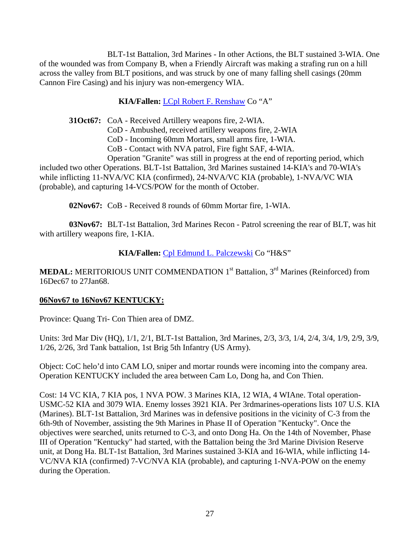BLT-1st Battalion, 3rd Marines - In other Actions, the BLT sustained 3-WIA. One of the wounded was from Company B, when a Friendly Aircraft was making a strafing run on a hill across the valley from BLT positions, and was struck by one of many falling shell casings (20mm Cannon Fire Casing) and his injury was non-emergency WIA.

### **KIA/Fallen:** [LCpl Robert F. Renshaw](http://thewall-usa.com/info.asp?recid=42954) Co "A"

**31Oct67:** CoA - Received Artillery weapons fire, 2-WIA.

CoD - Ambushed, received artillery weapons fire, 2-WIA

CoD - Incoming 60mm Mortars, small arms fire, 1-WIA.

CoB - Contact with NVA patrol, Fire fight SAF, 4-WIA.

 Operation "Granite" was still in progress at the end of reporting period, which included two other Operations. BLT-1st Battalion, 3rd Marines sustained 14-KIA's and 70-WIA's while inflicting 11-NVA/VC KIA (confirmed), 24-NVA/VC KIA (probable), 1-NVA/VC WIA (probable), and capturing 14-VCS/POW for the month of October.

**02Nov67:** CoB - Received 8 rounds of 60mm Mortar fire, 1-WIA.

**03Nov67:** BLT-1st Battalion, 3rd Marines Recon - Patrol screening the rear of BLT, was hit with artillery weapons fire, 1-KIA.

#### **KIA/Fallen:** [Cpl Edmund L. Palczewski](http://thewall-usa.com/info.asp?recid=39244) Co "H&S"

**MEDAL:** MERITORIOUS UNIT COMMENDATION 1<sup>st</sup> Battalion, 3<sup>rd</sup> Marines (Reinforced) from 16Dec67 to 27Jan68.

#### **06Nov67 to 16Nov67 KENTUCKY:**

Province: Quang Tri- Con Thien area of DMZ.

Units: 3rd Mar Div (HQ), 1/1, 2/1, BLT-1st Battalion, 3rd Marines, 2/3, 3/3, 1/4, 2/4, 3/4, 1/9, 2/9, 3/9, 1/26, 2/26, 3rd Tank battalion, 1st Brig 5th Infantry (US Army).

Object: CoC helo'd into CAM LO, sniper and mortar rounds were incoming into the company area. Operation KENTUCKY included the area between Cam Lo, Dong ha, and Con Thien.

Cost: 14 VC KIA, 7 KIA pos, 1 NVA POW. 3 Marines KIA, 12 WIA, 4 WIAne. Total operation-USMC-52 KIA and 3079 WIA. Enemy losses 3921 KIA. Per 3rdmarines-operations lists 107 U.S. KIA (Marines). BLT-1st Battalion, 3rd Marines was in defensive positions in the vicinity of C-3 from the 6th-9th of November, assisting the 9th Marines in Phase II of Operation "Kentucky". Once the objectives were searched, units returned to C-3, and onto Dong Ha. On the 14th of November, Phase III of Operation "Kentucky" had started, with the Battalion being the 3rd Marine Division Reserve unit, at Dong Ha. BLT-1st Battalion, 3rd Marines sustained 3-KIA and 16-WIA, while inflicting 14- VC/NVA KIA (confirmed) 7-VC/NVA KIA (probable), and capturing 1-NVA-POW on the enemy during the Operation.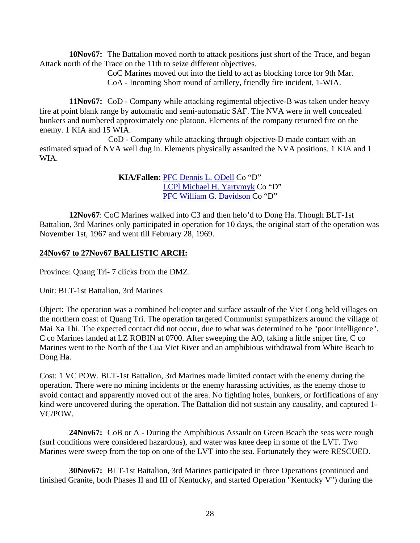**10Nov67:** The Battalion moved north to attack positions just short of the Trace, and began Attack north of the Trace on the 11th to seize different objectives.

> CoC Marines moved out into the field to act as blocking force for 9th Mar. CoA - Incoming Short round of artillery, friendly fire incident, 1-WIA.

**11Nov67:** CoD - Company while attacking regimental objective-B was taken under heavy fire at point blank range by automatic and semi-automatic SAF. The NVA were in well concealed bunkers and numbered approximately one platoon. Elements of the company returned fire on the enemy. 1 KIA and 15 WIA.

 CoD - Company while attacking through objective-D made contact with an estimated squad of NVA well dug in. Elements physically assaulted the NVA positions. 1 KIA and 1 WIA.

> **KIA/Fallen:** [PFC Dennis L. ODell](http://thewall-usa.com/info.asp?recid=38386) Co "D" [LCPl Michael H. Yartymyk](http://thewall-usa.com/info.asp?recid=57743) Co "D" [PFC William G. Davidson](http://thewall-usa.com/info.asp?recid=12062) Co "D"

**12Nov67**: CoC Marines walked into C3 and then helo'd to Dong Ha. Though BLT-1st Battalion, 3rd Marines only participated in operation for 10 days, the original start of the operation was November 1st, 1967 and went till February 28, 1969.

### **24Nov67 to 27Nov67 BALLISTIC ARCH:**

Province: Quang Tri- 7 clicks from the DMZ.

Unit: BLT-1st Battalion, 3rd Marines

Object: The operation was a combined helicopter and surface assault of the Viet Cong held villages on the northern coast of Quang Tri. The operation targeted Communist sympathizers around the village of Mai Xa Thi. The expected contact did not occur, due to what was determined to be "poor intelligence". C co Marines landed at LZ ROBIN at 0700. After sweeping the AO, taking a little sniper fire, C co Marines went to the North of the Cua Viet River and an amphibious withdrawal from White Beach to Dong Ha.

Cost: 1 VC POW. BLT-1st Battalion, 3rd Marines made limited contact with the enemy during the operation. There were no mining incidents or the enemy harassing activities, as the enemy chose to avoid contact and apparently moved out of the area. No fighting holes, bunkers, or fortifications of any kind were uncovered during the operation. The Battalion did not sustain any causality, and captured 1- VC/POW.

**24Nov67:** CoB or A - During the Amphibious Assault on Green Beach the seas were rough (surf conditions were considered hazardous), and water was knee deep in some of the LVT. Two Marines were sweep from the top on one of the LVT into the sea. Fortunately they were RESCUED.

**30Nov67:** BLT-1st Battalion, 3rd Marines participated in three Operations (continued and finished Granite, both Phases II and III of Kentucky, and started Operation "Kentucky V") during the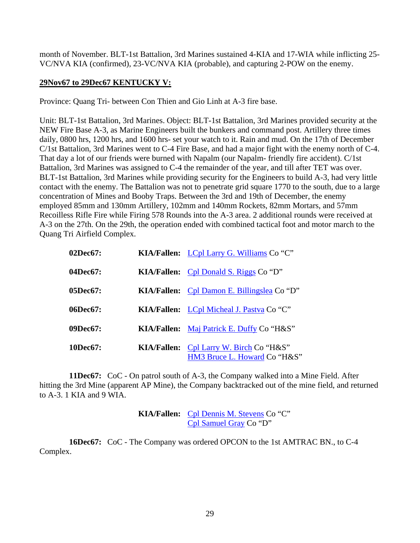month of November. BLT-1st Battalion, 3rd Marines sustained 4-KIA and 17-WIA while inflicting 25- VC/NVA KIA (confirmed), 23-VC/NVA KIA (probable), and capturing 2-POW on the enemy.

### **29Nov67 to 29Dec67 KENTUCKY V:**

Province: Quang Tri- between Con Thien and Gio Linh at A-3 fire base.

Unit: BLT-1st Battalion, 3rd Marines. Object: BLT-1st Battalion, 3rd Marines provided security at the NEW Fire Base A-3, as Marine Engineers built the bunkers and command post. Artillery three times daily, 0800 hrs, 1200 hrs, and 1600 hrs- set your watch to it. Rain and mud. On the 17th of December C/1st Battalion, 3rd Marines went to C-4 Fire Base, and had a major fight with the enemy north of C-4. That day a lot of our friends were burned with Napalm (our Napalm- friendly fire accident). C/1st Battalion, 3rd Marines was assigned to C-4 the remainder of the year, and till after TET was over. BLT-1st Battalion, 3rd Marines while providing security for the Engineers to build A-3, had very little contact with the enemy. The Battalion was not to penetrate grid square 1770 to the south, due to a large concentration of Mines and Booby Traps. Between the 3rd and 19th of December, the enemy employed 85mm and 130mm Artillery, 102mm and 140mm Rockets, 82mm Mortars, and 57mm Recoilless Rifle Fire while Firing 578 Rounds into the A-3 area. 2 additional rounds were received at A-3 on the 27th. On the 29th, the operation ended with combined tactical foot and motor march to the Quang Tri Airfield Complex.

| 02Dec67: | KIA/Fallen: LCpl Larry G. Williams Co "C"                                      |
|----------|--------------------------------------------------------------------------------|
| 04Dec67: | <b>KIA/Fallen:</b> Cpl Donald S. Riggs Co "D"                                  |
| 05Dec67: | <b>KIA/Fallen:</b> Cpl Damon E. Billingslea Co "D"                             |
| 06Dec67: | KIA/Fallen: LCpl Micheal J. Pastva Co "C"                                      |
| 09Dec67: | <b>KIA/Fallen:</b> Maj Patrick E. Duffy Co "H&S"                               |
| 10Dec67: | <b>KIA/Fallen:</b> Cpl Larry W. Birch Co "H&S"<br>HM3 Bruce L. Howard Co "H&S" |

**11Dec67:** CoC - On patrol south of A-3, the Company walked into a Mine Field. After hitting the 3rd Mine (apparent AP Mine), the Company backtracked out of the mine field, and returned to A-3. 1 KIA and 9 WIA.

> **KIA/Fallen:** [Cpl Dennis M. Stevens](http://thewall-usa.com/info.asp?recid=49797) Co "C" [Cpl Samuel Gray](http://thewall-usa.com/info.asp?recid=19700) Co "D"

**16Dec67:** CoC - The Company was ordered OPCON to the 1st AMTRAC BN., to C-4 Complex.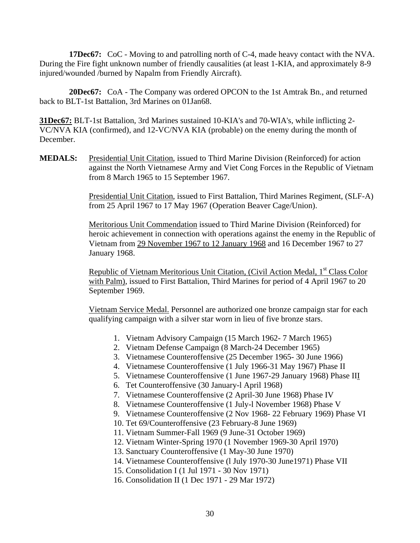**17Dec67:** CoC - Moving to and patrolling north of C-4, made heavy contact with the NVA. During the Fire fight unknown number of friendly causalities (at least 1-KIA, and approximately 8-9 injured/wounded /burned by Napalm from Friendly Aircraft).

**20Dec67:** CoA - The Company was ordered OPCON to the 1st Amtrak Bn., and returned back to BLT-1st Battalion, 3rd Marines on 01Jan68.

**31Dec67:** BLT-1st Battalion, 3rd Marines sustained 10-KIA's and 70-WIA's, while inflicting 2- VC/NVA KIA (confirmed), and 12-VC/NVA KIA (probable) on the enemy during the month of December.

**MEDALS:** Presidential Unit Citation, issued to Third Marine Division (Reinforced) for action against the North Vietnamese Army and Viet Cong Forces in the Republic of Vietnam from 8 March 1965 to 15 September 1967.

> Presidential Unit Citation, issued to First Battalion, Third Marines Regiment, (SLF-A) from 25 April 1967 to 17 May 1967 (Operation Beaver Cage/Union).

> Meritorious Unit Commendation issued to Third Marine Division (Reinforced) for heroic achievement in connection with operations against the enemy in the Republic of Vietnam from 29 November 1967 to 12 January 1968 and 16 December 1967 to 27 January 1968.

Republic of Vietnam Meritorious Unit Citation, (Civil Action Medal, 1<sup>st</sup> Class Color with Palm), issued to First Battalion, Third Marines for period of 4 April 1967 to 20 September 1969.

Vietnam Service Medal. Personnel are authorized one bronze campaign star for each qualifying campaign with a silver star worn in lieu of five bronze stars.

- 1. Vietnam Advisory Campaign (15 March 1962- 7 March 1965)
- 2. Vietnam Defense Campaign (8 March-24 December 1965)
- 3. Vietnamese Counteroffensive (25 December 1965- 30 June 1966)
- 4. Vietnamese Counteroffensive (1 July 1966-31 May 1967) Phase II
- 5. Vietnamese Counteroffensive (1 June 1967-29 January 1968) Phase III
- 6. Tet Counteroffensive (30 January-l April 1968)
- 7. Vietnamese Counteroffensive (2 April-30 June 1968) Phase IV
- 8. Vietnamese Counteroffensive (1 July-l November 1968) Phase V
- 9. Vietnamese Counteroffensive (2 Nov 1968- 22 February 1969) Phase VI
- 10. Tet 69/Counteroffensive (23 February-8 June 1969)
- 11. Vietnam Summer-Fall 1969 (9 June-31 October 1969)
- 12. Vietnam Winter-Spring 1970 (1 November 1969-30 April 1970)
- 13. Sanctuary Counteroffensive (1 May-30 June 1970)
- 14. Vietnamese Counteroffensive (l July 1970-30 June1971) Phase VII
- 15. Consolidation I (1 Jul 1971 30 Nov 1971)
- 16. Consolidation II (1 Dec 1971 29 Mar 1972)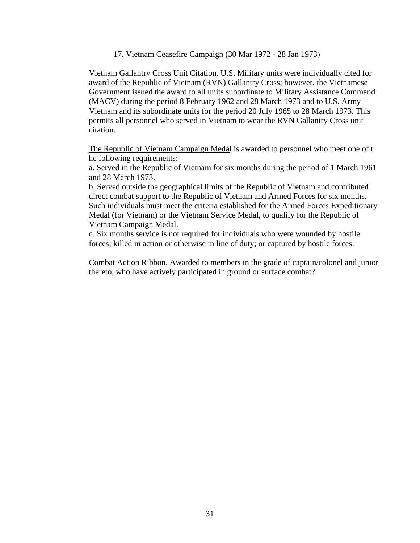17. Vietnam Ceasefire Campaign (30 Mar 1972 - 28 Jan 1973)

Vietnam Gallantry Cross Unit Citation. U.S. Military units were individually cited for award of the Republic of Vietnam (RVN) Gallantry Cross; however, the Vietnamese Government issued the award to all units subordinate to Military Assistance Command (MACV) during the period 8 February 1962 and 28 March 1973 and to U.S. Army Vietnam and its subordinate units for the period 20 July 1965 to 28 March 1973. This permits all personnel who served in Vietnam to wear the RVN Gallantry Cross unit citation.

The Republic of Vietnam Campaign Medal is awarded to personnel who meet one of t he following requirements:

a. Served in the Republic of Vietnam for six months during the period of 1 March 1961 and 28 March 1973.

b. Served outside the geographical limits of the Republic of Vietnam and contributed direct combat support to the Republic of Vietnam and Armed Forces for six months. Such individuals must meet the criteria established for the Armed Forces Expeditionary Medal (for Vietnam) or the Vietnam Service Medal, to qualify for the Republic of Vietnam Campaign Medal.

c. Six months service is not required for individuals who were wounded by hostile forces; killed in action or otherwise in line of duty; or captured by hostile forces.

Combat Action Ribbon. Awarded to members in the grade of captain/colonel and junior thereto, who have actively participated in ground or surface combat?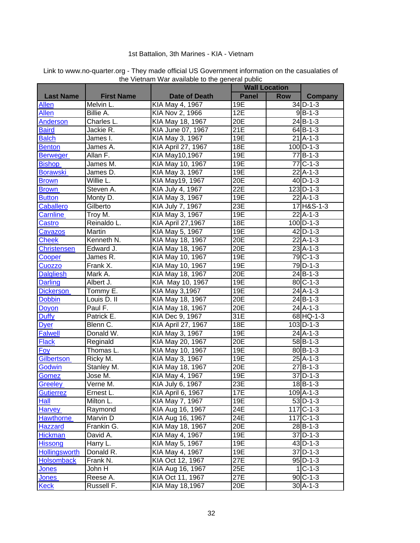#### 1st Battalion, 3th Marines - KIA - Vietnam

|                    |                                 |                      | <b>Wall Location</b> |            |                       |
|--------------------|---------------------------------|----------------------|----------------------|------------|-----------------------|
| <b>Last Name</b>   | <b>First Name</b>               | <b>Date of Death</b> | <b>Panel</b>         | <b>Row</b> | Company               |
| <b>Allen</b>       | Melvin L.                       | KIA May 4, 1967      | 19E                  |            | $34$ D-1-3            |
| Allen              | Billie A.                       | KIA Nov 2, 1966      | 12E                  |            | $9B-1-3$              |
| <b>Anderson</b>    | Charles L.                      | KIA May 18, 1967     | 20E                  |            | $24$ B-1-3            |
| <b>Baird</b>       | Jackie R.                       | KIA June 07, 1967    | 21E                  |            | $64B-1-3$             |
| <b>Balch</b>       | James I.                        | KIA May 3, 1967      | 19E                  |            | $21$ A-1-3            |
| <b>Benton</b>      | James A.                        | KIA April 27, 1967   | 18E                  |            | $100$ D-1-3           |
| <b>Berweger</b>    | Allan F.                        | KIA May10,1967       | 19E                  |            | $77$ B-1-3            |
| <b>Bishop</b>      | James M.                        | KIA May 10, 1967     | 19E                  |            | $77C - 1 - 3$         |
| <b>Borawski</b>    | James D.                        | KIA May 3, 1967      | 19E                  |            | $22$ A-1-3            |
| <b>Brown</b>       | Willie L.                       | KIA May19, 1967      | 20E                  |            | $40$ D-1-3            |
| <b>Brown</b>       | Steven A.                       | KIA July 4, 1967     | 22E                  |            | $123$ D-1-3           |
| <b>Button</b>      | Monty D.                        | KIA May 3, 1967      | 19E                  |            | $22$ A-1-3            |
| <b>Caballero</b>   | Gilberto                        | KIA July 7, 1967     | 23E                  |            | 17 H&S-1-3            |
| Carnline           | Troy M.                         | KIA May 3, 1967      | 19E                  |            | $22$ A-1-3            |
| Castro             | Reinaldo L.                     | KIA April 27,1967    | 18E                  |            | $100$ D-1-3           |
| Cavazos            | Martin                          | KIA May 5, 1967      | 19E                  |            | $42$ D-1-3            |
| <b>Cheek</b>       | Kenneth N.                      | KIA May 18, 1967     | 20E                  |            | $22$ A-1-3            |
| <b>Christensen</b> | Edward J.                       | KIA May 18, 1967     | 20E                  |            | $23$ A-1-3            |
| Cooper             | James R.                        | KIA May 10, 1967     | 19E                  |            | 79 C-1-3              |
| Cuozzo             | Frank X.                        | KIA May 10, 1967     | 19E                  |            | $79$ D-1-3            |
| <b>Dalgliesh</b>   | Mark A.                         | KIA May 18, 1967     | 20E                  |            | $24$ B-1-3            |
| <b>Darling</b>     | Albert J.                       | KIA May 10, 1967     | 19E                  |            | $80C - 1 - 3$         |
| <b>Dickerson</b>   | Tommy E.                        | KIA May 3,1967       | 19E                  |            | $24$ A-1-3            |
| <b>Dobbin</b>      | Louis D. II                     | KIA May 18, 1967     | 20E                  |            | $24$ B-1-3            |
| Doyon              | Paul F.                         | KIA May 18, 1967     | 20E                  |            | $24$ A-1-3            |
| Duffy              | Patrick E.                      | KIA Dec 9, 1967      | 31E                  |            | 68 HQ-1-3             |
| <b>Dyer</b>        | Blenn C.                        | KIA April 27, 1967   | 18E                  |            | $103$ D-1-3           |
| <b>Falwell</b>     | Donald W.                       | KIA May 3, 1967      | 19E                  |            | $24$ A-1-3            |
| <b>Flack</b>       | Reginald                        | KIA May 20, 1967     | 20E                  |            | $58$ B-1-3            |
| <b>Foy</b>         | Thomas L.                       | KIA May 10, 1967     | 19E                  |            | $80$ B-1-3            |
| <b>Gilbertson</b>  | Ricky M.                        | KIA May 3, 1967      | 19E                  |            | $25$ $A-1-3$          |
| Godwin             | Stanley M.                      | KIA May 18, 1967     | 20E                  |            | $27B-1-3$             |
| Gomez              | Jose M.                         | KIA May 4, 1967      | 19E                  |            | $37$ D-1-3            |
| Greeley            | $\overline{\mathsf{V}}$ erne M. | KIA July 6, 1967     | 23E                  |            | $18$ B-1-3            |
| Gutierrez          | Ernest L.                       | KIA April 6, 1967    | 17E                  |            | 109 A-1-3             |
| <b>Hall</b>        | Milton L.                       | KIA May 7, 1967      | 19E                  |            | $\overline{5}3$ D-1-3 |
| <b>Harvey</b>      | Raymond                         | KIA Aug 16, 1967     | 24E                  |            | $117C - 1 - 3$        |
| <b>Hawthorne</b>   | Marvin D                        | KIA Aug 16, 1967     | 24E                  |            | $117C - 1 - 3$        |
| <b>Hazzard</b>     | Frankin G.                      | KIA May 18, 1967     | 20E                  |            | $28$ B-1-3            |
| <b>Hickman</b>     | David A.                        | KIA May 4, 1967      | 19E                  |            | $37$ D-1-3            |
| <b>Hissong</b>     | Harry L.                        | KIA May 5, 1967      | 19E                  |            | $43$ D-1-3            |
| Hollingsworth      | Donald R.                       | KIA May 4, 1967      | 19E                  |            | $37$ D-1-3            |
| <b>Holsomback</b>  | Frank N.                        | KIA Oct 12, 1967     | 27E                  |            | $95$ D-1-3            |
| <b>Jones</b>       | John H                          | KIA Aug 16, 1967     | 25E                  |            | $1 C-1-3 $            |
| <b>Jones</b>       | Reese A.                        | KIA Oct 11, 1967     | 27E                  |            | $90$ C-1-3            |
| <b>Keck</b>        | Russell F.                      | KIA May 18,1967      | 20E                  |            | $30$ A-1-3            |

Link to www.no-quarter.org - They made official US Government information on the casualaties of the Vietnam War available to the general public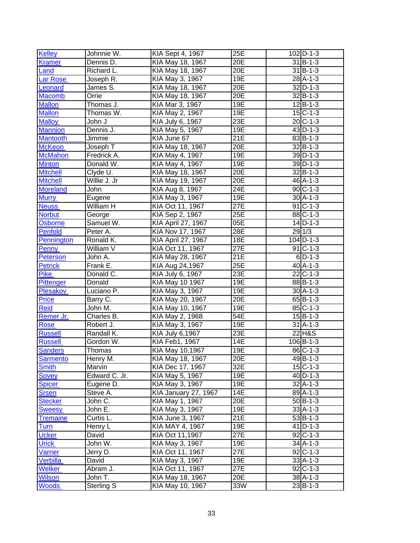| Kelley           | Johnnie W.    | <b>KIA Sept 4, 1967</b>   | 25E               | $102$ D-1-3            |
|------------------|---------------|---------------------------|-------------------|------------------------|
| <b>Kramer</b>    | Dennis D.     | KIA May 18, 1967          | 20E               | $31$ B-1-3             |
| Land             | Richard L.    | KIA May 18, 1967          | 20E               | $\overline{31}$  B-1-3 |
| Lar Rose         | Joseph R.     | KIA May 3, 1967           | 19E               | $\overline{28}$ A-1-3  |
| Leonard          | James S.      | KIA May 18, 1967          | 20E               | $32$ D-1-3             |
| <b>Macomb</b>    | Orrie         | KIA May 18, 1967          | 20E               | $32 B-1-3 $            |
| <b>Mallon</b>    | Thomas J.     | KIA Mar 3, 1967           | 19E               | $12$ $B-1-3$           |
| <b>Mallon</b>    | Thomas W.     | KIA May 2, 1967           | 19E               | $15$ C-1-3             |
| <b>Malloy</b>    | John J        | KIA July 6, 1967          | 23E               | $20$ C-1-3             |
| <b>Mannion</b>   | Dennis J.     | KIA May 5, 1967           | 19E               | $43$ D-1-3             |
| <b>Mantooth</b>  | Jimmie        | KIA June 67               | 21E               | $83$ B-1-3             |
| <b>McKeon</b>    | Joseph T      | KIA May 18, 1967          | 20E               | $32B - 1 - 3$          |
| <b>McMahon</b>   | Fredrick A.   | KIA May 4, 1967           | 19E               | $39$ D-1-3             |
| <b>Minton</b>    | Donald W.     | KIA May 4, 1967           | 19E               | $39$ D-1-3             |
| <b>Mitchell</b>  | Clyde U.      | KIA May 18, 1967          | 20E               | $32$ $B-1-3$           |
| <b>Mitchell</b>  | Willie J. Jr  | KIA May 19, 1967          | 20E               | $46A-1-3$              |
| <b>Moreland</b>  | John          | KIA Aug 8, 1967           | 24E               | $90C-1-3$              |
| <b>Murry</b>     | Eugene        | KIA May 3, 1967           | 19E               | $30$ A-1-3             |
| <b>Neuss</b>     | William H     | KIA Oct 11, 1967          | $\overline{2}$ 7E | $91C-1-3$              |
| <b>Norbut</b>    | George        | KIA Sep 2, 1967           | 25E               | $88C - 1 - 3$          |
| Osborne          | Samuel W.     | <b>KIA April 27, 1967</b> | 05E               | $\overline{14}$ D-1-3  |
| <b>Penfold</b>   | Peter A.      | KIA Nov 17, 1967          | 28E               | 29 1/3                 |
| Pennington       | Ronald K.     | KIA April 27, 1967        | 18E               | $104$ D-1-3            |
| <b>Penny</b>     | William V     | KIA Oct 11, 1967          | 27E               | $91$ C-1-3             |
| <b>Peterson</b>  | John A.       | KIA May 28, 1967          | 21E               | $6$ D-1-3              |
| <b>Petrick</b>   | Frank E.      | KIA Aug 24,1967           | 25E               | $40A-1-3$              |
| <b>Pike</b>      | Donald C.     | KIA July 6, 1967          | 23E               | $22$ C-1-3             |
| <b>Pittenger</b> | Donald        | <b>KIA May 10 1967</b>    | 19E               | $88$ B-1-3             |
| Plesakov         | Luciano P.    | KIA May 3, 1967           | 19E               | $30$ A-1-3             |
| <b>Price</b>     | Barry C.      | KIA May 20, 1967          | 20E               | $65$ B-1-3             |
| <b>Reid</b>      | John M.       | KIA May 10, 1967          | 19E               | $85C - 1 - 3$          |
| Remer Jr.        | Charles B.    | KIA May 2, 1968           | 54E               | $15B - 1 - 3$          |
| <b>Rose</b>      | Robert J.     | KIA May 3, 1967           | 19E               | $31$ A-1-3             |
| <b>Russell</b>   | Randall K.    | KIA July 6,1967           | 23E               | 22 H&S                 |
| <b>Russell</b>   | Gordon W.     | KIA Feb1, 1967            | 14E               | $106$ B-1-3            |
| <b>Sanders</b>   | Thomas        | KIA May 10,1967           | 19E               | 86 C-1-3               |
| Sarmento         | Henry M.      | KIA May 18, 1967          | 20E               | 49 B-1-3               |
| <b>Smith</b>     | Marvin        | KIA Dec 17, 1967          | 32E               | $15$ C-1-3             |
| Sovey            | Edward C. Jr. | KIA May 5, 1967           | 19E               | $40$ D-1-3             |
| <b>Spicer</b>    | Eugene D.     | KIA May 3, 1967           | 19E               | $32$ A-1-3             |
| <b>Srsen</b>     | Steve A.      | KIA January 27, 1967      | 14E               | 89 A-1-3               |
| <b>Stecker</b>   | John C.       | KIA May 1, 1967           | 20E               | $50$ B-1-3             |
| <b>Sweesy</b>    | John E.       | KIA May 3, 1967           | 19E               | $33$ A-1-3             |
| <b>Tremaine</b>  | Curtis L.     | KIA June 3, 1967          | 21E               | $53$ $B-1-3$           |
| <u>Turn</u>      | Henry L       | KIA MAY 4, 1967           | 19E               | $41$ D-1-3             |
| <b>Ucker</b>     | David         | KIA Oct 11,1967           | 27E               | $92$ C-1-3             |
| <b>Urick</b>     | John W.       | KIA May 3, 1967           | 19E               | $34$ A-1-3             |
| Varner           | Jerry D.      | KIA Oct 11, 1967          | 27E               | $92$ C-1-3             |
| <b>Verbilla</b>  | David         | KIA May 3, 1967           | 19E               | $33A-1-3$              |
| <b>Welker</b>    | Abram $J.$    | KIA Oct 11, 1967          | 27E               | $92$ C-1-3             |
| <b>Wilson</b>    | John T.       | KIA May 18, 1967          | 20E               | $38$ A-1-3             |
| <b>Woods</b>     | Sterling S    | KIA May 10, 1967          | 33W               | $23$ $B-1-3$           |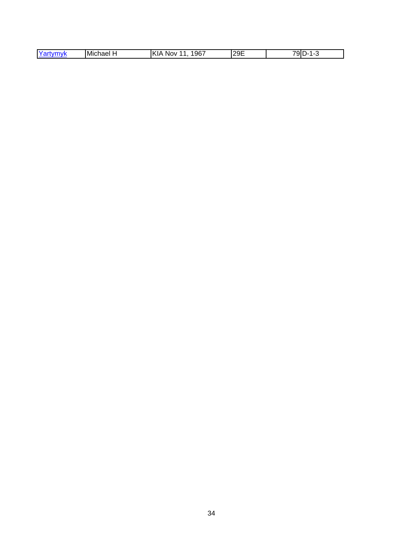| -<br>96<br>и<br>JP<br>IMichael<br>-----<br>л л<br>NOV.<br>'IVN<br>. .<br>-- | 12QF<br>∸ | $-$<br>91<br>$\overline{\phantom{a}}$<br><br>- |
|-----------------------------------------------------------------------------|-----------|------------------------------------------------|
|-----------------------------------------------------------------------------|-----------|------------------------------------------------|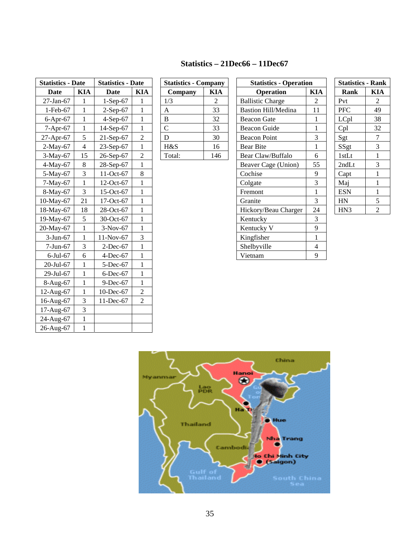## **Statistics – 21Dec66 – 11Dec67**

| <b>Statistics - Date</b> |                | <b>Statistics - Date</b> |                | <b>Statistics - Company</b> |                | <b>Statistics - Operation</b> |              | <b>Statistics - Rank</b> |                |
|--------------------------|----------------|--------------------------|----------------|-----------------------------|----------------|-------------------------------|--------------|--------------------------|----------------|
| <b>Date</b>              | <b>KIA</b>     | <b>Date</b>              | <b>KIA</b>     | Company                     | <b>KIA</b>     | <b>Operation</b>              | <b>KIA</b>   | Rank                     | <b>KIA</b>     |
| 27-Jan-67                |                | $1-Sep-67$               |                | 1/3                         | $\overline{2}$ | <b>Ballistic Charge</b>       | 2            | Pvt                      | 2              |
| 1-Feb-67                 | $\mathbf{1}$   | $2-Sep-67$               | 1              | $\boldsymbol{\mathsf{A}}$   | 33             | <b>Bastion Hill/Medina</b>    | 11           | <b>PFC</b>               | 49             |
| $6-Apr-67$               | $\mathbf{1}$   | $4-Sep-67$               | $\mathbf{1}$   | $\overline{B}$              | 32             | <b>Beacon Gate</b>            | $\mathbf{1}$ | LCpl                     | 38             |
| $7-Apr-67$               | 1              | 14-Sep-67                | 1              | $\mathbf C$                 | 33             | <b>Beacon Guide</b>           | 1            | Cpl                      | 32             |
| 27-Apr-67                | 5              | $21-Sep-67$              | $\sqrt{2}$     | D                           | 30             | <b>Beacon Point</b>           | 3            | Sgt                      | $\overline{7}$ |
| $2-May-67$               | $\overline{4}$ | $23-Sep-67$              | $\mathbf{1}$   | H&S                         | 16             | <b>Bear Bite</b>              | 1            | SSgt                     | 3              |
| $3-May-67$               | 15             | 26-Sep-67                | $\overline{c}$ | Total:                      | 146            | Bear Claw/Buffalo             | 6            | 1stLt                    | 1              |
| 4-May-67                 | 8              | 28-Sep-67                | $\mathbf{1}$   |                             |                | Beaver Cage (Union)           | 55           | 2ndLt                    | 3              |
| 5-May-67                 | 3              | 11-Oct-67                | 8              |                             |                | Cochise                       | 9            | Capt                     | $\mathbf{1}$   |
| 7-May-67                 | $\mathbf{1}$   | 12-Oct-67                | $\mathbf{1}$   |                             |                | Colgate                       | 3            | Maj                      | $\mathbf 1$    |
| 8-May-67                 | 3              | 15-Oct-67                | 1              |                             |                | Fremont                       | 1            | <b>ESN</b>               | $\mathbf{1}$   |
| 10-May-67                | 21             | 17-Oct-67                | 1              |                             |                | Granite                       | 3            | HN                       | 5              |
| 18-May-67                | 18             | 28-Oct-67                | $\mathbf{1}$   |                             |                | Hickory/Beau Charger          | 24           | HN <sub>3</sub>          | $\overline{2}$ |
| 19-May-67                | 5              | 30-Oct-67                | $\mathbf{1}$   |                             |                | Kentucky                      | 3            |                          |                |
| 20-May-67                | 1              | $3-Nov-67$               | 1              |                             |                | Kentucky V                    | 9            |                          |                |
| $3-Jun-67$               | $\mathbf{1}$   | 11-Nov-67                | 3              |                             |                | Kingfisher                    | 1            |                          |                |
| $7-Jun-67$               | 3              | $2$ -Dec-67              | $\mathbf{1}$   |                             |                | Shelbyville                   | 4            |                          |                |
| $6$ -Jul- $67$           | 6              | 4-Dec-67                 | 1              |                             |                | Vietnam                       | 9            |                          |                |
| 20-Jul-67                | 1              | 5-Dec-67                 | $\mathbf{1}$   |                             |                |                               |              |                          |                |
| 29-Jul-67                | 1              | $6$ -Dec- $67$           | $\mathbf{1}$   |                             |                |                               |              |                          |                |
| 8-Aug-67                 | $\mathbf{1}$   | 9-Dec-67                 | $\mathbf{1}$   |                             |                |                               |              |                          |                |
| 12-Aug-67                | $\mathbf{1}$   | 10-Dec-67                | $\overline{2}$ |                             |                |                               |              |                          |                |
| 16-Aug-67                | 3              | 11-Dec-67                | $\overline{2}$ |                             |                |                               |              |                          |                |
| 17-Aug-67                | 3              |                          |                |                             |                |                               |              |                          |                |
| 24-Aug-67                | $\mathbf{1}$   |                          |                |                             |                |                               |              |                          |                |
| 26-Aug-67                | $\mathbf{1}$   |                          |                |                             |                |                               |              |                          |                |

| <b>Statistics - Company</b> |            |  |  |  |
|-----------------------------|------------|--|--|--|
| Company                     | <b>KIA</b> |  |  |  |
| 1/3                         | 2          |  |  |  |
| A                           | 33         |  |  |  |
| B                           | 32         |  |  |  |
| $\overline{C}$              | 33         |  |  |  |
| D                           | 30         |  |  |  |
| H&S                         | 16         |  |  |  |
| Total:                      | 146        |  |  |  |

| <b>Statistics - Operation</b> |  |  |  |  |
|-------------------------------|--|--|--|--|
| KIA                           |  |  |  |  |
| 2                             |  |  |  |  |
| 11                            |  |  |  |  |
| 1                             |  |  |  |  |
| 1                             |  |  |  |  |
| 3                             |  |  |  |  |
| 1                             |  |  |  |  |
| 6                             |  |  |  |  |
| 55                            |  |  |  |  |
| 9                             |  |  |  |  |
| 3                             |  |  |  |  |
| $\mathbf{1}$                  |  |  |  |  |
| 3                             |  |  |  |  |
| 24                            |  |  |  |  |
| 3                             |  |  |  |  |
| 9                             |  |  |  |  |
| 1                             |  |  |  |  |
| 4                             |  |  |  |  |
| 9                             |  |  |  |  |
|                               |  |  |  |  |

| <b>Statistics - Rank</b> |                |  |  |  |  |
|--------------------------|----------------|--|--|--|--|
| Rank                     | KIA            |  |  |  |  |
| Pvt                      | 2              |  |  |  |  |
| <b>PFC</b>               | 49             |  |  |  |  |
| LCpl                     | 38             |  |  |  |  |
| Cpl                      | 32             |  |  |  |  |
| Sgt                      | 7              |  |  |  |  |
| SSgt                     | 3              |  |  |  |  |
| 1stLt                    | 1              |  |  |  |  |
| 2ndLt                    | 3              |  |  |  |  |
| Capt                     | 1              |  |  |  |  |
| Maj                      | 1              |  |  |  |  |
| <b>ESN</b>               | 1              |  |  |  |  |
| HN                       | 5              |  |  |  |  |
| HN <sub>3</sub>          | $\overline{c}$ |  |  |  |  |